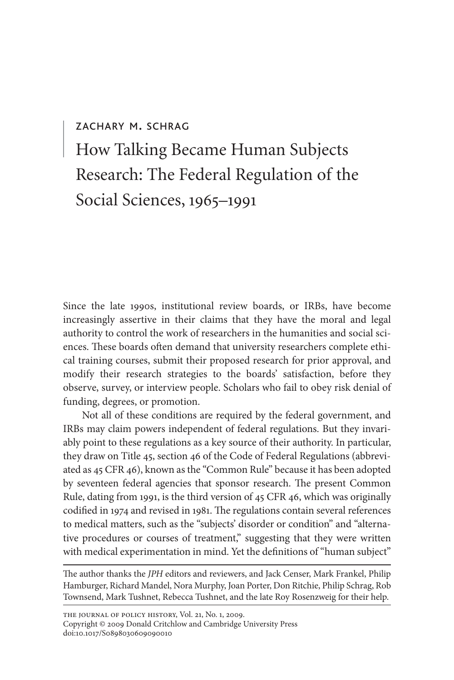# ZACHARY M. SCHRAG

 How Talking Became Human Subjects Research: The Federal Regulation of the Social Sciences, 1965–1991

 Since the late 1990s, institutional review boards, or IRBs, have become increasingly assertive in their claims that they have the moral and legal authority to control the work of researchers in the humanities and social sciences. These boards often demand that university researchers complete ethical training courses, submit their proposed research for prior approval, and modify their research strategies to the boards' satisfaction, before they observe, survey, or interview people. Scholars who fail to obey risk denial of funding, degrees, or promotion.

 Not all of these conditions are required by the federal government, and IRBs may claim powers independent of federal regulations. But they invariably point to these regulations as a key source of their authority. In particular, they draw on Title 45, section 46 of the Code of Federal Regulations (abbreviated as 45 CFR 46), known as the "Common Rule" because it has been adopted by seventeen federal agencies that sponsor research. The present Common Rule, dating from 1991, is the third version of 45 CFR 46, which was originally codified in 1974 and revised in 1981. The regulations contain several references to medical matters, such as the "subjects' disorder or condition" and "alternative procedures or courses of treatment," suggesting that they were written with medical experimentation in mind. Yet the definitions of "human subject"

The author thanks the *JPH* editors and reviewers, and Jack Censer, Mark Frankel, Philip Hamburger, Richard Mandel, Nora Murphy, Joan Porter, Don Ritchie, Philip Schrag, Rob Townsend, Mark Tushnet, Rebecca Tushnet, and the late Roy Rosenzweig for their help.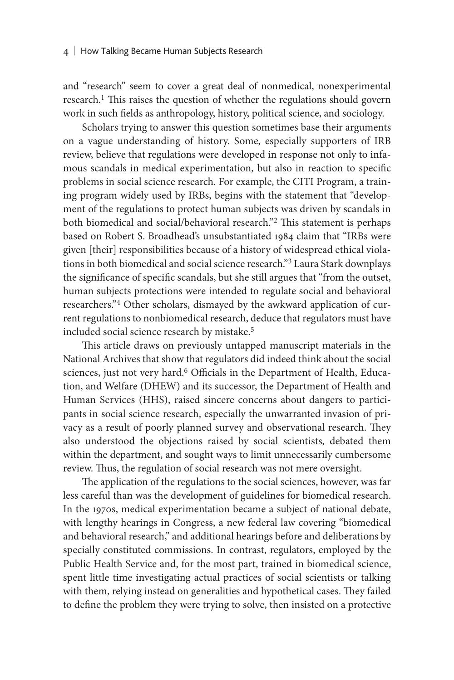and "research" seem to cover a great deal of nonmedical, nonexperimental research.<sup>1</sup> This raises the question of whether the regulations should govern work in such fields as anthropology, history, political science, and sociology.

 Scholars trying to answer this question sometimes base their arguments on a vague understanding of history. Some, especially supporters of IRB review, believe that regulations were developed in response not only to infamous scandals in medical experimentation, but also in reaction to specific problems in social science research. For example, the CITI Program, a training program widely used by IRBs, begins with the statement that "development of the regulations to protect human subjects was driven by scandals in both biomedical and social/behavioral research."<sup>2</sup> This statement is perhaps based on Robert S. Broadhead's unsubstantiated 1984 claim that "IRBs were given [their] responsibilities because of a history of widespread ethical violations in both biomedical and social science research."<sup>3</sup> Laura Stark downplays the significance of specific scandals, but she still argues that "from the outset, human subjects protections were intended to regulate social and behavioral researchers."4 Other scholars, dismayed by the awkward application of current regulations to nonbiomedical research, deduce that regulators must have included social science research by mistake.<sup>5</sup>

This article draws on previously untapped manuscript materials in the National Archives that show that regulators did indeed think about the social sciences, just not very hard.<sup>6</sup> Officials in the Department of Health, Education, and Welfare (DHEW) and its successor, the Department of Health and Human Services (HHS), raised sincere concerns about dangers to participants in social science research, especially the unwarranted invasion of privacy as a result of poorly planned survey and observational research. They also understood the objections raised by social scientists, debated them within the department, and sought ways to limit unnecessarily cumbersome review. Thus, the regulation of social research was not mere oversight.

The application of the regulations to the social sciences, however, was far less careful than was the development of guidelines for biomedical research. In the 1970s, medical experimentation became a subject of national debate, with lengthy hearings in Congress, a new federal law covering "biomedical and behavioral research," and additional hearings before and deliberations by specially constituted commissions. In contrast, regulators, employed by the Public Health Service and, for the most part, trained in biomedical science, spent little time investigating actual practices of social scientists or talking with them, relying instead on generalities and hypothetical cases. They failed to define the problem they were trying to solve, then insisted on a protective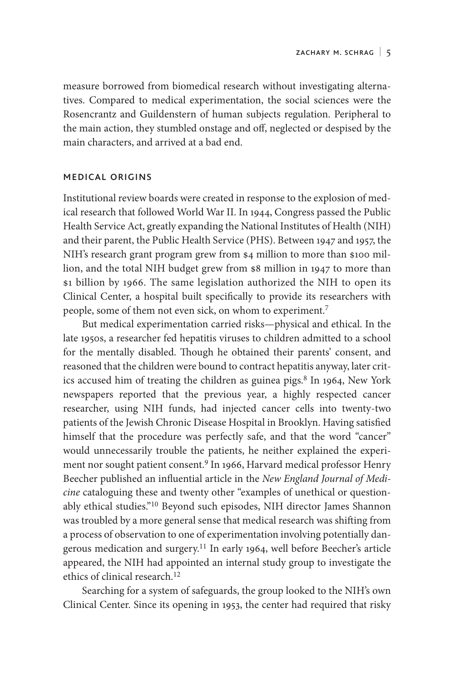measure borrowed from biomedical research without investigating alternatives. Compared to medical experimentation, the social sciences were the Rosencrantz and Guildenstern of human subjects regulation. Peripheral to the main action, they stumbled onstage and off, neglected or despised by the main characters, and arrived at a bad end.

## medical origins

 Institutional review boards were created in response to the explosion of medical research that followed World War II. In 1944, Congress passed the Public Health Service Act, greatly expanding the National Institutes of Health (NIH) and their parent, the Public Health Service (PHS). Between 1947 and 1957, the NIH's research grant program grew from \$4 million to more than \$100 million, and the total NIH budget grew from \$8 million in 1947 to more than \$1 billion by 1966. The same legislation authorized the NIH to open its Clinical Center, a hospital built specifically to provide its researchers with people, some of them not even sick, on whom to experiment.<sup>7</sup>

 But medical experimentation carried risks—physical and ethical. In the late 1950s, a researcher fed hepatitis viruses to children admitted to a school for the mentally disabled. Though he obtained their parents' consent, and reasoned that the children were bound to contract hepatitis anyway, later critics accused him of treating the children as guinea pigs.<sup>8</sup> In 1964, New York newspapers reported that the previous year, a highly respected cancer researcher, using NIH funds, had injected cancer cells into twenty-two patients of the Jewish Chronic Disease Hospital in Brooklyn. Having satisfied himself that the procedure was perfectly safe, and that the word "cancer" would unnecessarily trouble the patients, he neither explained the experiment nor sought patient consent.<sup>9</sup> In 1966, Harvard medical professor Henry Beecher published an influential article in the *New England Journal of Medicine* cataloguing these and twenty other "examples of unethical or questionably ethical studies."<sup>10</sup> Beyond such episodes, NIH director James Shannon was troubled by a more general sense that medical research was shifting from a process of observation to one of experimentation involving potentially dangerous medication and surgery.<sup>11</sup> In early 1964, well before Beecher's article appeared, the NIH had appointed an internal study group to investigate the ethics of clinical research. 12

 Searching for a system of safeguards, the group looked to the NIH's own Clinical Center. Since its opening in 1953, the center had required that risky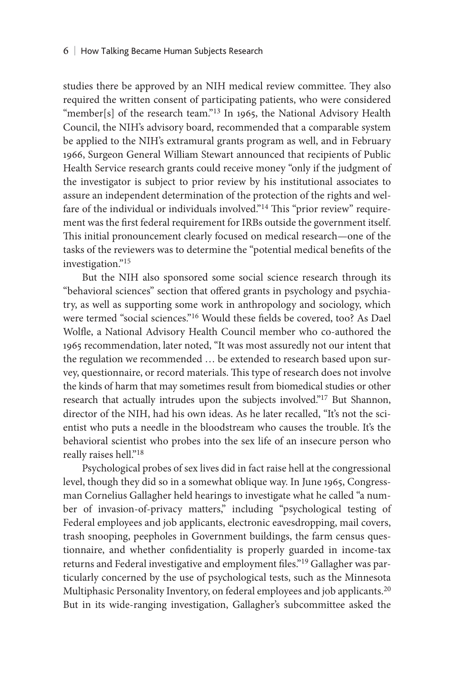studies there be approved by an NIH medical review committee. They also required the written consent of participating patients, who were considered "member[s] of the research team."<sup>13</sup> In 1965, the National Advisory Health Council, the NIH's advisory board, recommended that a comparable system be applied to the NIH's extramural grants program as well, and in February 1966, Surgeon General William Stewart announced that recipients of Public Health Service research grants could receive money "only if the judgment of the investigator is subject to prior review by his institutional associates to assure an independent determination of the protection of the rights and welfare of the individual or individuals involved."<sup>14</sup> This "prior review" requirement was the first federal requirement for IRBs outside the government itself. This initial pronouncement clearly focused on medical research—one of the tasks of the reviewers was to determine the "potential medical benefits of the investigation."<sup>15</sup>

 But the NIH also sponsored some social science research through its "behavioral sciences" section that offered grants in psychology and psychiatry, as well as supporting some work in anthropology and sociology, which were termed "social sciences."<sup>16</sup> Would these fields be covered, too? As Dael Wolfle, a National Advisory Health Council member who co-authored the 1965 recommendation, later noted, "It was most assuredly not our intent that the regulation we recommended … be extended to research based upon survey, questionnaire, or record materials. This type of research does not involve the kinds of harm that may sometimes result from biomedical studies or other research that actually intrudes upon the subjects involved."<sup>17</sup> But Shannon, director of the NIH, had his own ideas. As he later recalled, "It's not the scientist who puts a needle in the bloodstream who causes the trouble. It's the behavioral scientist who probes into the sex life of an insecure person who really raises hell."<sup>18</sup>

 Psychological probes of sex lives did in fact raise hell at the congressional level, though they did so in a somewhat oblique way. In June 1965, Congressman Cornelius Gallagher held hearings to investigate what he called "a number of invasion-of-privacy matters," including "psychological testing of Federal employees and job applicants, electronic eavesdropping, mail covers, trash snooping, peepholes in Government buildings, the farm census questionnaire, and whether confidentiality is properly guarded in income-tax returns and Federal investigative and employment files."<sup>19</sup> Gallagher was particularly concerned by the use of psychological tests, such as the Minnesota Multiphasic Personality Inventory, on federal employees and job applicants. 20 But in its wide-ranging investigation, Gallagher's subcommittee asked the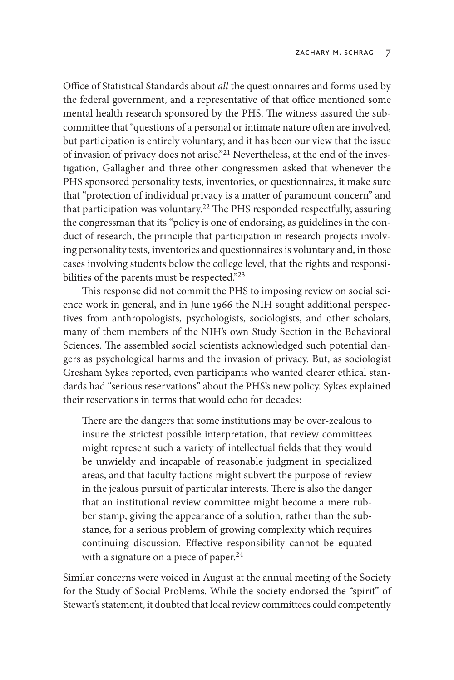Office of Statistical Standards about *all* the questionnaires and forms used by the federal government, and a representative of that office mentioned some mental health research sponsored by the PHS. The witness assured the subcommittee that "questions of a personal or intimate nature often are involved, but participation is entirely voluntary, and it has been our view that the issue of invasion of privacy does not arise."<sup>21</sup> Nevertheless, at the end of the investigation, Gallagher and three other congressmen asked that whenever the PHS sponsored personality tests, inventories, or questionnaires, it make sure that "protection of individual privacy is a matter of paramount concern" and that participation was voluntary.<sup>22</sup> The PHS responded respectfully, assuring the congressman that its "policy is one of endorsing, as guidelines in the conduct of research, the principle that participation in research projects involving personality tests, inventories and questionnaires is voluntary and, in those cases involving students below the college level, that the rights and responsibilities of the parents must be respected."<sup>23</sup>

This response did not commit the PHS to imposing review on social science work in general, and in June 1966 the NIH sought additional perspectives from anthropologists, psychologists, sociologists, and other scholars, many of them members of the NIH's own Study Section in the Behavioral Sciences. The assembled social scientists acknowledged such potential dangers as psychological harms and the invasion of privacy. But, as sociologist Gresham Sykes reported, even participants who wanted clearer ethical standards had "serious reservations" about the PHS's new policy. Sykes explained their reservations in terms that would echo for decades:

There are the dangers that some institutions may be over-zealous to insure the strictest possible interpretation, that review committees might represent such a variety of intellectual fields that they would be unwieldy and incapable of reasonable judgment in specialized areas, and that faculty factions might subvert the purpose of review in the jealous pursuit of particular interests. There is also the danger that an institutional review committee might become a mere rubber stamp, giving the appearance of a solution, rather than the substance, for a serious problem of growing complexity which requires continuing discussion. Effective responsibility cannot be equated with a signature on a piece of paper.<sup>24</sup>

 Similar concerns were voiced in August at the annual meeting of the Society for the Study of Social Problems. While the society endorsed the "spirit" of Stewart's statement, it doubted that local review committees could competently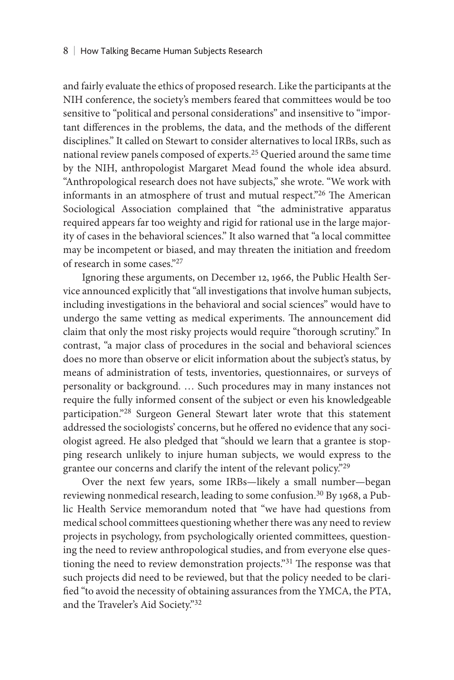and fairly evaluate the ethics of proposed research. Like the participants at the NIH conference, the society's members feared that committees would be too sensitive to "political and personal considerations" and insensitive to "important differences in the problems, the data, and the methods of the different disciplines." It called on Stewart to consider alternatives to local IRBs, such as national review panels composed of experts. 25 Queried around the same time by the NIH, anthropologist Margaret Mead found the whole idea absurd. "Anthropological research does not have subjects," she wrote. "We work with informants in an atmosphere of trust and mutual respect."<sup>26</sup> The American Sociological Association complained that "the administrative apparatus required appears far too weighty and rigid for rational use in the large majority of cases in the behavioral sciences." It also warned that "a local committee may be incompetent or biased, and may threaten the initiation and freedom of research in some cases."27

 Ignoring these arguments, on December 12, 1966, the Public Health Service announced explicitly that "all investigations that involve human subjects, including investigations in the behavioral and social sciences" would have to undergo the same vetting as medical experiments. The announcement did claim that only the most risky projects would require "thorough scrutiny." In contrast, "a major class of procedures in the social and behavioral sciences does no more than observe or elicit information about the subject's status, by means of administration of tests, inventories, questionnaires, or surveys of personality or background. … Such procedures may in many instances not require the fully informed consent of the subject or even his knowledgeable participation."<sup>28</sup> Surgeon General Stewart later wrote that this statement addressed the sociologists' concerns, but he offered no evidence that any sociologist agreed. He also pledged that "should we learn that a grantee is stopping research unlikely to injure human subjects, we would express to the grantee our concerns and clarify the intent of the relevant policy."<sup>29</sup>

 Over the next few years, some IRBs—likely a small number—began reviewing nonmedical research, leading to some confusion. 30 By 1968, a Public Health Service memorandum noted that "we have had questions from medical school committees questioning whether there was any need to review projects in psychology, from psychologically oriented committees, questioning the need to review anthropological studies, and from everyone else questioning the need to review demonstration projects."<sup>31</sup> The response was that such projects did need to be reviewed, but that the policy needed to be clarified "to avoid the necessity of obtaining assurances from the YMCA, the PTA, and the Traveler's Aid Society."<sup>32</sup>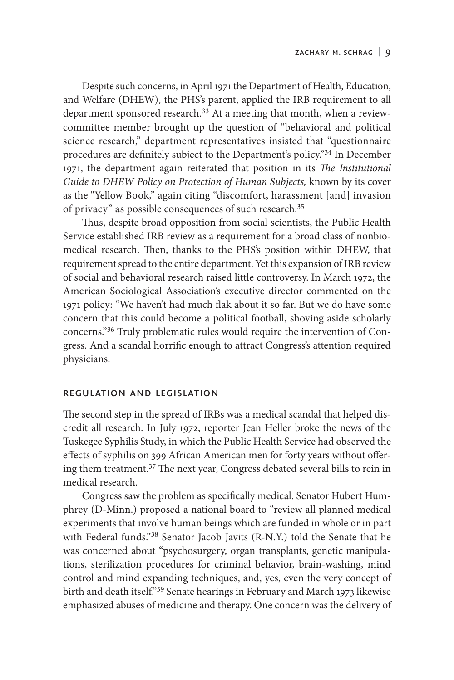Despite such concerns, in April 1971 the Department of Health, Education, and Welfare (DHEW), the PHS's parent, applied the IRB requirement to all department sponsored research.<sup>33</sup> At a meeting that month, when a reviewcommittee member brought up the question of "behavioral and political science research," department representatives insisted that "questionnaire procedures are definitely subject to the Department's policy."34 In December 1971, the department again reiterated that position in its *The Institutional Guide to DHEW Policy on Protection of Human Subjects,* known by its cover as the "Yellow Book," again citing "discomfort, harassment [and] invasion of privacy" as possible consequences of such research. 35

Thus, despite broad opposition from social scientists, the Public Health Service established IRB review as a requirement for a broad class of nonbiomedical research. Then, thanks to the PHS's position within DHEW, that requirement spread to the entire department. Yet this expansion of IRB review of social and behavioral research raised little controversy. In March 1972, the American Sociological Association's executive director commented on the 1971 policy: "We haven't had much flak about it so far. But we do have some concern that this could become a political football, shoving aside scholarly concerns." 36 Truly problematic rules would require the intervention of Congress. And a scandal horrific enough to attract Congress's attention required physicians.

## regulation and legislation

The second step in the spread of IRBs was a medical scandal that helped discredit all research. In July 1972, reporter Jean Heller broke the news of the Tuskegee Syphilis Study, in which the Public Health Service had observed the effects of syphilis on 399 African American men for forty years without offering them treatment.<sup>37</sup> The next year, Congress debated several bills to rein in medical research.

Congress saw the problem as specifically medical. Senator Hubert Humphrey (D-Minn.) proposed a national board to "review all planned medical experiments that involve human beings which are funded in whole or in part with Federal funds." 38 Senator Jacob Javits (R-N.Y.) told the Senate that he was concerned about "psychosurgery, organ transplants, genetic manipulations, sterilization procedures for criminal behavior, brain-washing, mind control and mind expanding techniques, and, yes, even the very concept of birth and death itself."<sup>39</sup> Senate hearings in February and March 1973 likewise emphasized abuses of medicine and therapy. One concern was the delivery of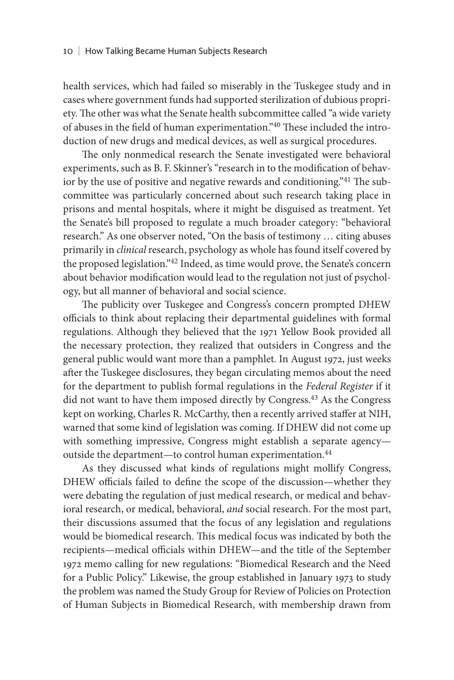health services, which had failed so miserably in the Tuskegee study and in cases where government funds had supported sterilization of dubious propriety. The other was what the Senate health subcommittee called "a wide variety of abuses in the field of human experimentation."<sup>40</sup> These included the introduction of new drugs and medical devices, as well as surgical procedures.

The only nonmedical research the Senate investigated were behavioral experiments, such as B. F. Skinner's "research in to the modification of behavior by the use of positive and negative rewards and conditioning."<sup>41</sup> The subcommittee was particularly concerned about such research taking place in prisons and mental hospitals, where it might be disguised as treatment. Yet the Senate's bill proposed to regulate a much broader category: "behavioral research." As one observer noted, "On the basis of testimony … citing abuses primarily in *clinical* research, psychology as whole has found itself covered by the proposed legislation."<sup>42</sup> Indeed, as time would prove, the Senate's concern about behavior modification would lead to the regulation not just of psychology, but all manner of behavioral and social science.

The publicity over Tuskegee and Congress's concern prompted DHEW officials to think about replacing their departmental guidelines with formal regulations. Although they believed that the 1971 Yellow Book provided all the necessary protection, they realized that outsiders in Congress and the general public would want more than a pamphlet. In August 1972, just weeks after the Tuskegee disclosures, they began circulating memos about the need for the department to publish formal regulations in the *Federal Register* if it did not want to have them imposed directly by Congress. 43 As the Congress kept on working, Charles R. McCarthy, then a recently arrived staffer at NIH, warned that some kind of legislation was coming. If DHEW did not come up with something impressive, Congress might establish a separate agency outside the department—to control human experimentation. 44

 As they discussed what kinds of regulations might mollify Congress, DHEW officials failed to define the scope of the discussion—whether they were debating the regulation of just medical research, or medical and behavioral research, or medical, behavioral, *and* social research. For the most part, their discussions assumed that the focus of any legislation and regulations would be biomedical research. This medical focus was indicated by both the recipients—medical officials within DHEW—and the title of the September 1972 memo calling for new regulations: "Biomedical Research and the Need for a Public Policy." Likewise, the group established in January 1973 to study the problem was named the Study Group for Review of Policies on Protection of Human Subjects in Biomedical Research, with membership drawn from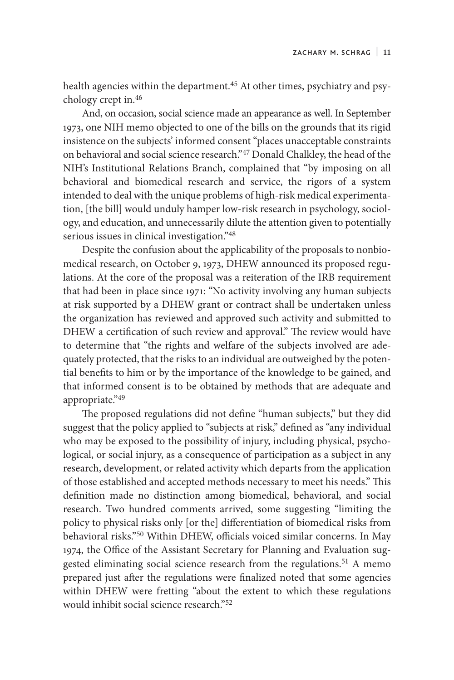health agencies within the department.<sup>45</sup> At other times, psychiatry and psychology crept in. 46

 And, on occasion, social science made an appearance as well. In September 1973, one NIH memo objected to one of the bills on the grounds that its rigid insistence on the subjects' informed consent "places unacceptable constraints on behavioral and social science research."47 Donald Chalkley, the head of the NIH's Institutional Relations Branch, complained that "by imposing on all behavioral and biomedical research and service, the rigors of a system intended to deal with the unique problems of high-risk medical experimentation, [the bill] would unduly hamper low-risk research in psychology, sociology, and education, and unnecessarily dilute the attention given to potentially serious issues in clinical investigation." 48

 Despite the confusion about the applicability of the proposals to nonbiomedical research, on October 9, 1973, DHEW announced its proposed regulations. At the core of the proposal was a reiteration of the IRB requirement that had been in place since 1971: "No activity involving any human subjects at risk supported by a DHEW grant or contract shall be undertaken unless the organization has reviewed and approved such activity and submitted to DHEW a certification of such review and approval." The review would have to determine that "the rights and welfare of the subjects involved are adequately protected, that the risks to an individual are outweighed by the potential benefits to him or by the importance of the knowledge to be gained, and that informed consent is to be obtained by methods that are adequate and appropriate."49

The proposed regulations did not define "human subjects," but they did suggest that the policy applied to "subjects at risk," defined as "any individual who may be exposed to the possibility of injury, including physical, psychological, or social injury, as a consequence of participation as a subject in any research, development, or related activity which departs from the application of those established and accepted methods necessary to meet his needs." This definition made no distinction among biomedical, behavioral, and social research. Two hundred comments arrived, some suggesting "limiting the policy to physical risks only [or the] differentiation of biomedical risks from behavioral risks."<sup>50</sup> Within DHEW, officials voiced similar concerns. In May 1974, the Office of the Assistant Secretary for Planning and Evaluation suggested eliminating social science research from the regulations.<sup>51</sup> A memo prepared just after the regulations were finalized noted that some agencies within DHEW were fretting "about the extent to which these regulations would inhibit social science research."<sup>52</sup>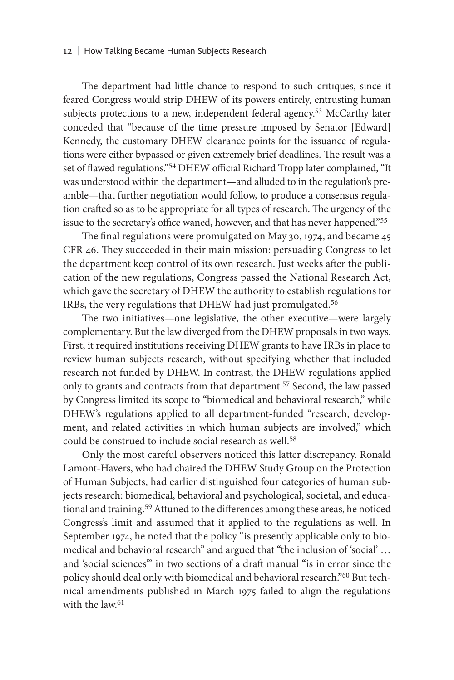The department had little chance to respond to such critiques, since it feared Congress would strip DHEW of its powers entirely, entrusting human subjects protections to a new, independent federal agency.<sup>53</sup> McCarthy later conceded that "because of the time pressure imposed by Senator [Edward] Kennedy, the customary DHEW clearance points for the issuance of regulations were either bypassed or given extremely brief deadlines. The result was a set of flawed regulations."<sup>54</sup> DHEW official Richard Tropp later complained, "It was understood within the department—and alluded to in the regulation's preamble—that further negotiation would follow, to produce a consensus regulation crafted so as to be appropriate for all types of research. The urgency of the issue to the secretary's office waned, however, and that has never happened."<sup>55</sup>

The final regulations were promulgated on May 30, 1974, and became 45 CFR 46. They succeeded in their main mission: persuading Congress to let the department keep control of its own research. Just weeks after the publication of the new regulations, Congress passed the National Research Act, which gave the secretary of DHEW the authority to establish regulations for IRBs, the very regulations that DHEW had just promulgated. 56

The two initiatives—one legislative, the other executive—were largely complementary. But the law diverged from the DHEW proposals in two ways. First, it required institutions receiving DHEW grants to have IRBs in place to review human subjects research, without specifying whether that included research not funded by DHEW. In contrast, the DHEW regulations applied only to grants and contracts from that department. 57 Second, the law passed by Congress limited its scope to "biomedical and behavioral research," while DHEW's regulations applied to all department-funded "research, development, and related activities in which human subjects are involved," which could be construed to include social research as well.<sup>58</sup>

 Only the most careful observers noticed this latter discrepancy. Ronald Lamont-Havers, who had chaired the DHEW Study Group on the Protection of Human Subjects, had earlier distinguished four categories of human subjects research: biomedical, behavioral and psychological, societal, and educational and training.<sup>59</sup> Attuned to the differences among these areas, he noticed Congress's limit and assumed that it applied to the regulations as well. In September 1974, he noted that the policy "is presently applicable only to biomedical and behavioral research" and argued that "the inclusion of 'social' … and 'social sciences'" in two sections of a draft manual "is in error since the policy should deal only with biomedical and behavioral research."<sup>60</sup> But technical amendments published in March 1975 failed to align the regulations with the law.<sup>61</sup>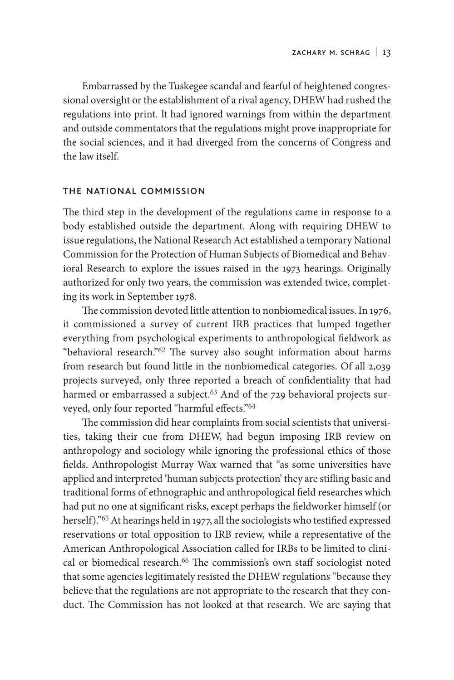Embarrassed by the Tuskegee scandal and fearful of heightened congressional oversight or the establishment of a rival agency, DHEW had rushed the regulations into print. It had ignored warnings from within the department and outside commentators that the regulations might prove inappropriate for the social sciences, and it had diverged from the concerns of Congress and the law itself.

#### the national commission

The third step in the development of the regulations came in response to a body established outside the department. Along with requiring DHEW to issue regulations, the National Research Act established a temporary National Commission for the Protection of Human Subjects of Biomedical and Behavioral Research to explore the issues raised in the 1973 hearings. Originally authorized for only two years, the commission was extended twice, completing its work in September 1978.

The commission devoted little attention to nonbiomedical issues. In 1976, it commissioned a survey of current IRB practices that lumped together everything from psychological experiments to anthropological fieldwork as "behavioral research."<sup>62</sup> The survey also sought information about harms from research but found little in the nonbiomedical categories. Of all 2,039 projects surveyed, only three reported a breach of confidentiality that had harmed or embarrassed a subject.<sup>63</sup> And of the 729 behavioral projects surveyed, only four reported "harmful effects." 64

The commission did hear complaints from social scientists that universities, taking their cue from DHEW, had begun imposing IRB review on anthropology and sociology while ignoring the professional ethics of those fields. Anthropologist Murray Wax warned that "as some universities have applied and interpreted 'human subjects protection' they are stifling basic and traditional forms of ethnographic and anthropological field researches which had put no one at significant risks, except perhaps the fieldworker himself (or herself)."65 At hearings held in 1977, all the sociologists who testified expressed reservations or total opposition to IRB review, while a representative of the American Anthropological Association called for IRBs to be limited to clinical or biomedical research.<sup>66</sup> The commission's own staff sociologist noted that some agencies legitimately resisted the DHEW regulations "because they believe that the regulations are not appropriate to the research that they conduct. The Commission has not looked at that research. We are saying that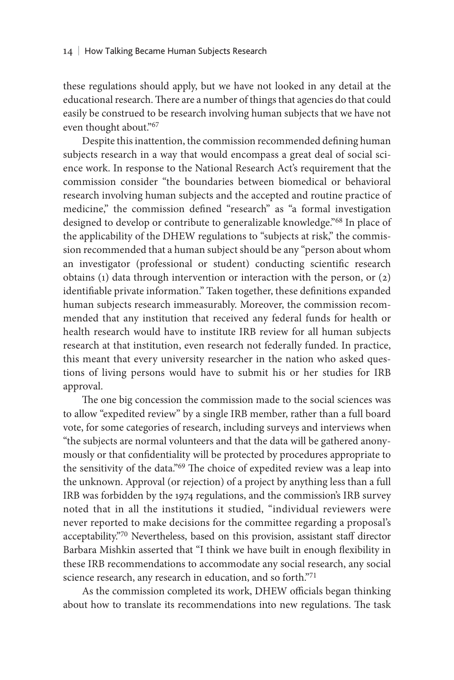these regulations should apply, but we have not looked in any detail at the educational research. There are a number of things that agencies do that could easily be construed to be research involving human subjects that we have not even thought about."<sup>67</sup>

Despite this inattention, the commission recommended defining human subjects research in a way that would encompass a great deal of social science work. In response to the National Research Act's requirement that the commission consider "the boundaries between biomedical or behavioral research involving human subjects and the accepted and routine practice of medicine," the commission defined "research" as "a formal investigation designed to develop or contribute to generalizable knowledge."<sup>68</sup> In place of the applicability of the DHEW regulations to "subjects at risk," the commission recommended that a human subject should be any "person about whom an investigator (professional or student) conducting scientific research obtains (1) data through intervention or interaction with the person, or (2) identifiable private information." Taken together, these definitions expanded human subjects research immeasurably. Moreover, the commission recommended that any institution that received any federal funds for health or health research would have to institute IRB review for all human subjects research at that institution, even research not federally funded. In practice, this meant that every university researcher in the nation who asked questions of living persons would have to submit his or her studies for IRB approval.

The one big concession the commission made to the social sciences was to allow "expedited review" by a single IRB member, rather than a full board vote, for some categories of research, including surveys and interviews when "the subjects are normal volunteers and that the data will be gathered anonymously or that confidentiality will be protected by procedures appropriate to the sensitivity of the data."<sup>69</sup> The choice of expedited review was a leap into the unknown. Approval (or rejection) of a project by anything less than a full IRB was forbidden by the 1974 regulations, and the commission's IRB survey noted that in all the institutions it studied, "individual reviewers were never reported to make decisions for the committee regarding a proposal's acceptability."70 Nevertheless, based on this provision, assistant staff director Barbara Mishkin asserted that "I think we have built in enough flexibility in these IRB recommendations to accommodate any social research, any social science research, any research in education, and so forth."71

As the commission completed its work, DHEW officials began thinking about how to translate its recommendations into new regulations. The task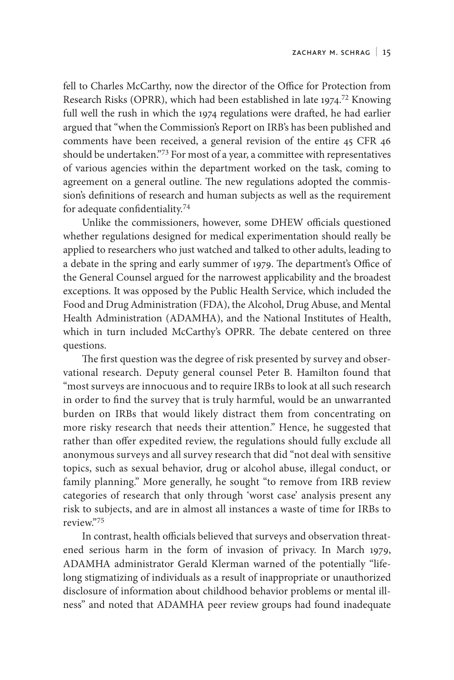fell to Charles McCarthy, now the director of the Office for Protection from Research Risks (OPRR), which had been established in late 1974.<sup>72</sup> Knowing full well the rush in which the 1974 regulations were drafted, he had earlier argued that "when the Commission's Report on IRB's has been published and comments have been received, a general revision of the entire 45 CFR 46 should be undertaken."<sup>73</sup> For most of a year, a committee with representatives of various agencies within the department worked on the task, coming to agreement on a general outline. The new regulations adopted the commission's definitions of research and human subjects as well as the requirement for adequate confidentiality.<sup>74</sup>

Unlike the commissioners, however, some DHEW officials questioned whether regulations designed for medical experimentation should really be applied to researchers who just watched and talked to other adults, leading to a debate in the spring and early summer of 1979. The department's Office of the General Counsel argued for the narrowest applicability and the broadest exceptions. It was opposed by the Public Health Service, which included the Food and Drug Administration (FDA), the Alcohol, Drug Abuse, and Mental Health Administration (ADAMHA), and the National Institutes of Health, which in turn included McCarthy's OPRR. The debate centered on three questions.

The first question was the degree of risk presented by survey and observational research. Deputy general counsel Peter B. Hamilton found that "most surveys are innocuous and to require IRBs to look at all such research in order to find the survey that is truly harmful, would be an unwarranted burden on IRBs that would likely distract them from concentrating on more risky research that needs their attention." Hence, he suggested that rather than offer expedited review, the regulations should fully exclude all anonymous surveys and all survey research that did "not deal with sensitive topics, such as sexual behavior, drug or alcohol abuse, illegal conduct, or family planning." More generally, he sought "to remove from IRB review categories of research that only through 'worst case' analysis present any risk to subjects, and are in almost all instances a waste of time for IRBs to review."75

In contrast, health officials believed that surveys and observation threatened serious harm in the form of invasion of privacy. In March 1979, ADAMHA administrator Gerald Klerman warned of the potentially "lifelong stigmatizing of individuals as a result of inappropriate or unauthorized disclosure of information about childhood behavior problems or mental illness" and noted that ADAMHA peer review groups had found inadequate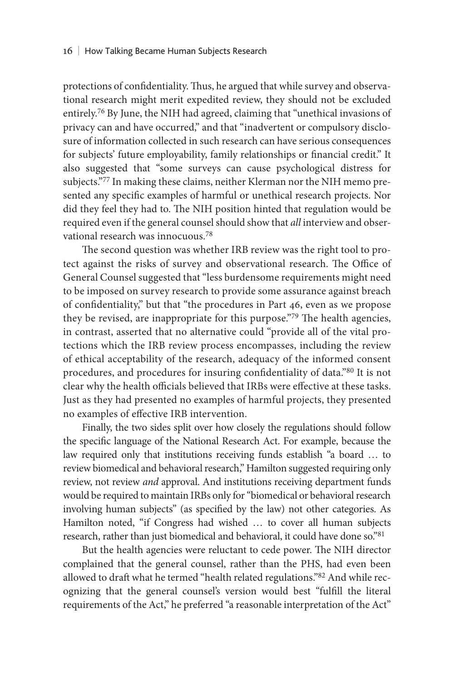protections of confidentiality. Thus, he argued that while survey and observational research might merit expedited review, they should not be excluded entirely. 76 By June, the NIH had agreed, claiming that "unethical invasions of privacy can and have occurred," and that "inadvertent or compulsory disclosure of information collected in such research can have serious consequences for subjects' future employability, family relationships or financial credit." It also suggested that "some surveys can cause psychological distress for subjects."<sup>77</sup> In making these claims, neither Klerman nor the NIH memo presented any specific examples of harmful or unethical research projects. Nor did they feel they had to. The NIH position hinted that regulation would be required even if the general counsel should show that *all* interview and observational research was innocuous. 78

The second question was whether IRB review was the right tool to protect against the risks of survey and observational research. The Office of General Counsel suggested that "less burdensome requirements might need to be imposed on survey research to provide some assurance against breach of confidentiality," but that "the procedures in Part 46, even as we propose they be revised, are inappropriate for this purpose."79 The health agencies, in contrast, asserted that no alternative could "provide all of the vital protections which the IRB review process encompasses, including the review of ethical acceptability of the research, adequacy of the informed consent procedures, and procedures for insuring confidentiality of data."<sup>80</sup> It is not clear why the health officials believed that IRBs were effective at these tasks. Just as they had presented no examples of harmful projects, they presented no examples of effective IRB intervention.

 Finally, the two sides split over how closely the regulations should follow the specific language of the National Research Act. For example, because the law required only that institutions receiving funds establish "a board … to review biomedical and behavioral research," Hamilton suggested requiring only review, not review *and* approval. And institutions receiving department funds would be required to maintain IRBs only for "biomedical or behavioral research involving human subjects" (as specified by the law) not other categories. As Hamilton noted, "if Congress had wished … to cover all human subjects research, rather than just biomedical and behavioral, it could have done so."81

But the health agencies were reluctant to cede power. The NIH director complained that the general counsel, rather than the PHS, had even been allowed to draft what he termed "health related regulations."<sup>82</sup> And while recognizing that the general counsel's version would best "fulfill the literal requirements of the Act," he preferred "a reasonable interpretation of the Act"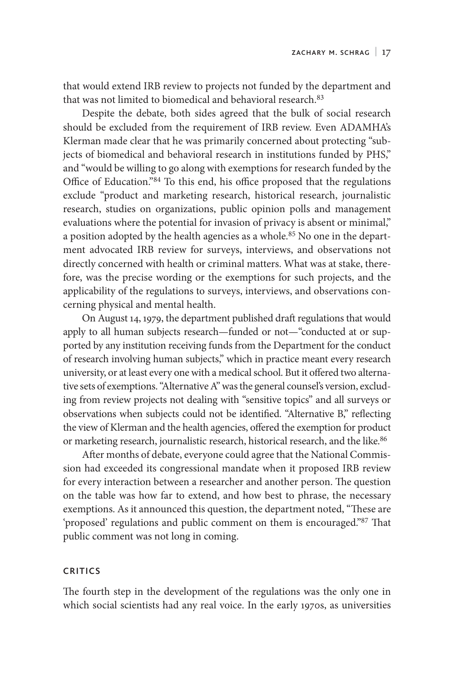that would extend IRB review to projects not funded by the department and that was not limited to biomedical and behavioral research.<sup>83</sup>

 Despite the debate, both sides agreed that the bulk of social research should be excluded from the requirement of IRB review. Even ADAMHA's Klerman made clear that he was primarily concerned about protecting "subjects of biomedical and behavioral research in institutions funded by PHS," and "would be willing to go along with exemptions for research funded by the Office of Education." 84 To this end, his office proposed that the regulations exclude "product and marketing research, historical research, journalistic research, studies on organizations, public opinion polls and management evaluations where the potential for invasion of privacy is absent or minimal," a position adopted by the health agencies as a whole. 85 No one in the department advocated IRB review for surveys, interviews, and observations not directly concerned with health or criminal matters. What was at stake, therefore, was the precise wording or the exemptions for such projects, and the applicability of the regulations to surveys, interviews, and observations concerning physical and mental health.

 On August 14, 1979, the department published draft regulations that would apply to all human subjects research—funded or not—"conducted at or supported by any institution receiving funds from the Department for the conduct of research involving human subjects," which in practice meant every research university, or at least every one with a medical school. But it offered two alternative sets of exemptions. "Alternative A" was the general counsel's version, excluding from review projects not dealing with "sensitive topics" and all surveys or observations when subjects could not be identified. "Alternative B," reflecting the view of Klerman and the health agencies, offered the exemption for product or marketing research, journalistic research, historical research, and the like.<sup>86</sup>

After months of debate, everyone could agree that the National Commission had exceeded its congressional mandate when it proposed IRB review for every interaction between a researcher and another person. The question on the table was how far to extend, and how best to phrase, the necessary exemptions. As it announced this question, the department noted, "These are 'proposed' regulations and public comment on them is encouraged."87 That public comment was not long in coming.

#### **CRITICS**

The fourth step in the development of the regulations was the only one in which social scientists had any real voice. In the early 1970s, as universities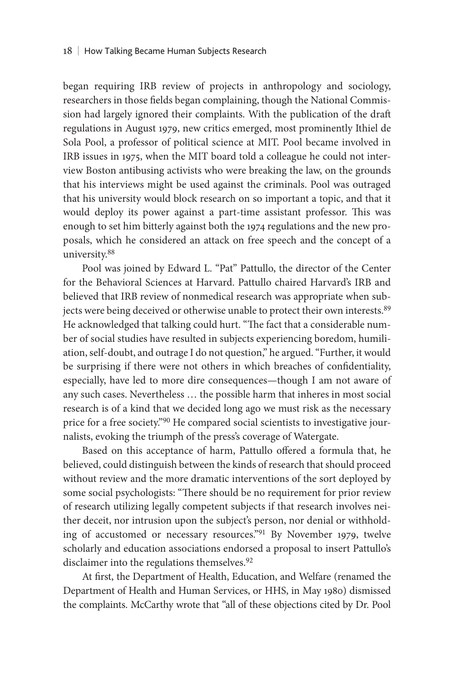began requiring IRB review of projects in anthropology and sociology, researchers in those fields began complaining, though the National Commission had largely ignored their complaints. With the publication of the draft regulations in August 1979, new critics emerged, most prominently Ithiel de Sola Pool, a professor of political science at MIT. Pool became involved in IRB issues in 1975, when the MIT board told a colleague he could not interview Boston antibusing activists who were breaking the law, on the grounds that his interviews might be used against the criminals. Pool was outraged that his university would block research on so important a topic, and that it would deploy its power against a part-time assistant professor. This was enough to set him bitterly against both the 1974 regulations and the new proposals, which he considered an attack on free speech and the concept of a university. 88

 Pool was joined by Edward L. "Pat" Pattullo, the director of the Center for the Behavioral Sciences at Harvard. Pattullo chaired Harvard's IRB and believed that IRB review of nonmedical research was appropriate when subjects were being deceived or otherwise unable to protect their own interests.<sup>89</sup> He acknowledged that talking could hurt. "The fact that a considerable number of social studies have resulted in subjects experiencing boredom, humiliation, self-doubt, and outrage I do not question," he argued. "Further, it would be surprising if there were not others in which breaches of confidentiality, especially, have led to more dire consequences—though I am not aware of any such cases. Nevertheless … the possible harm that inheres in most social research is of a kind that we decided long ago we must risk as the necessary price for a free society."<sup>90</sup> He compared social scientists to investigative journalists, evoking the triumph of the press's coverage of Watergate.

Based on this acceptance of harm, Pattullo offered a formula that, he believed, could distinguish between the kinds of research that should proceed without review and the more dramatic interventions of the sort deployed by some social psychologists: "There should be no requirement for prior review of research utilizing legally competent subjects if that research involves neither deceit, nor intrusion upon the subject's person, nor denial or withholding of accustomed or necessary resources."<sup>91</sup> By November 1979, twelve scholarly and education associations endorsed a proposal to insert Pattullo's disclaimer into the regulations themselves.<sup>92</sup>

At first, the Department of Health, Education, and Welfare (renamed the Department of Health and Human Services, or HHS, in May 1980) dismissed the complaints. McCarthy wrote that "all of these objections cited by Dr. Pool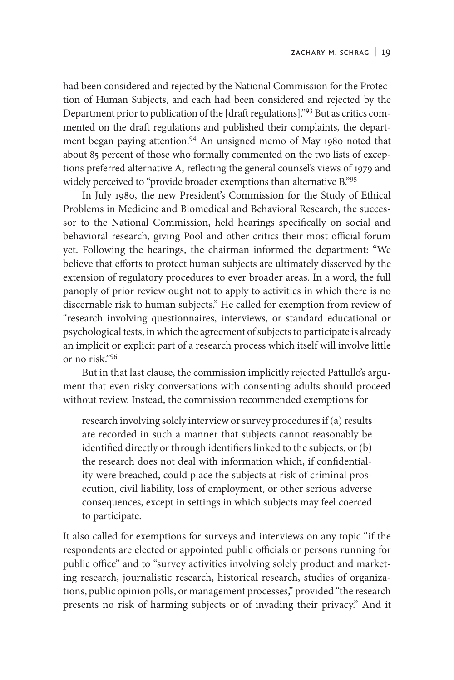had been considered and rejected by the National Commission for the Protection of Human Subjects, and each had been considered and rejected by the Department prior to publication of the [draft regulations]."<sup>93</sup> But as critics commented on the draft regulations and published their complaints, the department began paying attention. 94 An unsigned memo of May 1980 noted that about 85 percent of those who formally commented on the two lists of exceptions preferred alternative A, reflecting the general counsel's views of 1979 and widely perceived to "provide broader exemptions than alternative B."95

 In July 1980, the new President's Commission for the Study of Ethical Problems in Medicine and Biomedical and Behavioral Research, the successor to the National Commission, held hearings specifically on social and behavioral research, giving Pool and other critics their most official forum yet. Following the hearings, the chairman informed the department: "We believe that efforts to protect human subjects are ultimately disserved by the extension of regulatory procedures to ever broader areas. In a word, the full panoply of prior review ought not to apply to activities in which there is no discernable risk to human subjects." He called for exemption from review of "research involving questionnaires, interviews, or standard educational or psychological tests, in which the agreement of subjects to participate is already an implicit or explicit part of a research process which itself will involve little or no risk." 96

 But in that last clause, the commission implicitly rejected Pattullo's argument that even risky conversations with consenting adults should proceed without review. Instead, the commission recommended exemptions for

 research involving solely interview or survey procedures if (a) results are recorded in such a manner that subjects cannot reasonably be identified directly or through identifiers linked to the subjects, or (b) the research does not deal with information which, if confidentiality were breached, could place the subjects at risk of criminal prosecution, civil liability, loss of employment, or other serious adverse consequences, except in settings in which subjects may feel coerced to participate.

 It also called for exemptions for surveys and interviews on any topic "if the respondents are elected or appointed public officials or persons running for public office" and to "survey activities involving solely product and marketing research, journalistic research, historical research, studies of organizations, public opinion polls, or management processes," provided "the research presents no risk of harming subjects or of invading their privacy." And it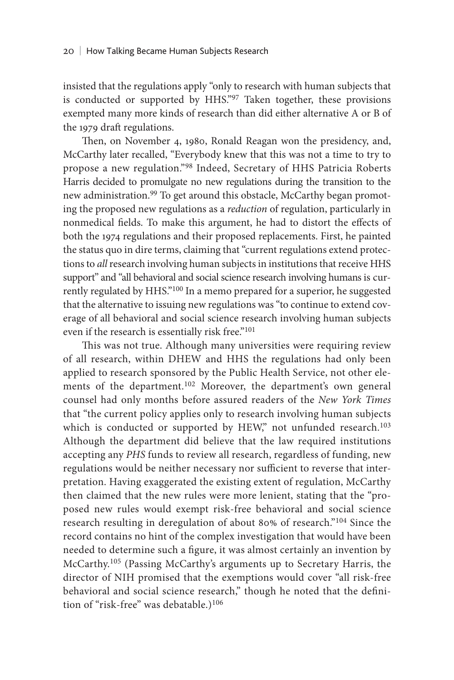insisted that the regulations apply "only to research with human subjects that is conducted or supported by HHS."97 Taken together, these provisions exempted many more kinds of research than did either alternative A or B of the 1979 draft regulations.

Then, on November 4, 1980, Ronald Reagan won the presidency, and, McCarthy later recalled, "Everybody knew that this was not a time to try to propose a new regulation."<sup>98</sup> Indeed, Secretary of HHS Patricia Roberts Harris decided to promulgate no new regulations during the transition to the new administration.<sup>99</sup> To get around this obstacle, McCarthy began promoting the proposed new regulations as a *reduction* of regulation, particularly in nonmedical fields. To make this argument, he had to distort the effects of both the 1974 regulations and their proposed replacements. First, he painted the status quo in dire terms, claiming that "current regulations extend protections to *all* research involving human subjects in institutions that receive HHS support" and "all behavioral and social science research involving humans is currently regulated by HHS."<sup>100</sup> In a memo prepared for a superior, he suggested that the alternative to issuing new regulations was "to continue to extend coverage of all behavioral and social science research involving human subjects even if the research is essentially risk free."<sup>101</sup>

This was not true. Although many universities were requiring review of all research, within DHEW and HHS the regulations had only been applied to research sponsored by the Public Health Service, not other elements of the department.<sup>102</sup> Moreover, the department's own general counsel had only months before assured readers of the *New York Times* that "the current policy applies only to research involving human subjects which is conducted or supported by HEW," not unfunded research.<sup>103</sup> Although the department did believe that the law required institutions accepting any *PHS* funds to review all research, regardless of funding, new regulations would be neither necessary nor sufficient to reverse that interpretation. Having exaggerated the existing extent of regulation, McCarthy then claimed that the new rules were more lenient, stating that the "proposed new rules would exempt risk-free behavioral and social science research resulting in deregulation of about 80% of research." 104 Since the record contains no hint of the complex investigation that would have been needed to determine such a figure, it was almost certainly an invention by McCarthy. 105 (Passing McCarthy's arguments up to Secretary Harris, the director of NIH promised that the exemptions would cover "all risk-free behavioral and social science research," though he noted that the definition of "risk-free" was debatable.) 106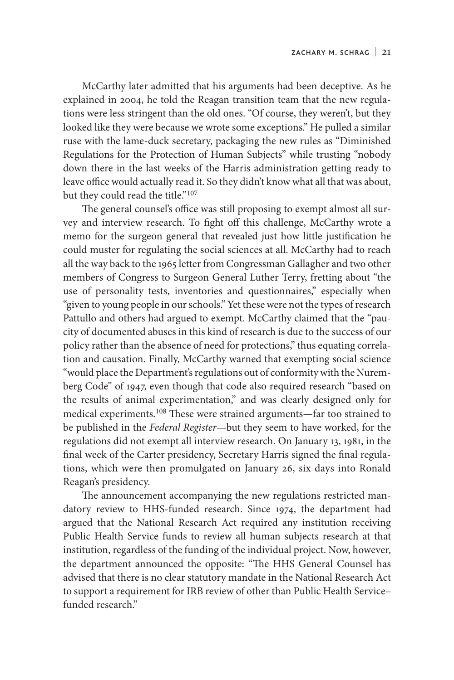McCarthy later admitted that his arguments had been deceptive. As he explained in 2004, he told the Reagan transition team that the new regulations were less stringent than the old ones. "Of course, they weren't, but they looked like they were because we wrote some exceptions." He pulled a similar ruse with the lame-duck secretary, packaging the new rules as "Diminished Regulations for the Protection of Human Subjects" while trusting "nobody down there in the last weeks of the Harris administration getting ready to leave office would actually read it. So they didn't know what all that was about, but they could read the title."<sup>107</sup>

The general counsel's office was still proposing to exempt almost all survey and interview research. To fight off this challenge, McCarthy wrote a memo for the surgeon general that revealed just how little justification he could muster for regulating the social sciences at all. McCarthy had to reach all the way back to the 1965 letter from Congressman Gallagher and two other members of Congress to Surgeon General Luther Terry, fretting about "the use of personality tests, inventories and questionnaires," especially when "given to young people in our schools." Yet these were not the types of research Pattullo and others had argued to exempt. McCarthy claimed that the "paucity of documented abuses in this kind of research is due to the success of our policy rather than the absence of need for protections," thus equating correlation and causation. Finally, McCarthy warned that exempting social science "would place the Department's regulations out of conformity with the Nuremberg Code" of 1947, even though that code also required research "based on the results of animal experimentation," and was clearly designed only for medical experiments.<sup>108</sup> These were strained arguments—far too strained to be published in the *Federal Register* —but they seem to have worked, for the regulations did not exempt all interview research. On January 13, 1981, in the final week of the Carter presidency, Secretary Harris signed the final regulations, which were then promulgated on January 26, six days into Ronald Reagan's presidency.

The announcement accompanying the new regulations restricted mandatory review to HHS-funded research. Since 1974, the department had argued that the National Research Act required any institution receiving Public Health Service funds to review all human subjects research at that institution, regardless of the funding of the individual project. Now, however, the department announced the opposite: "The HHS General Counsel has advised that there is no clear statutory mandate in the National Research Act to support a requirement for IRB review of other than Public Health Service– funded research."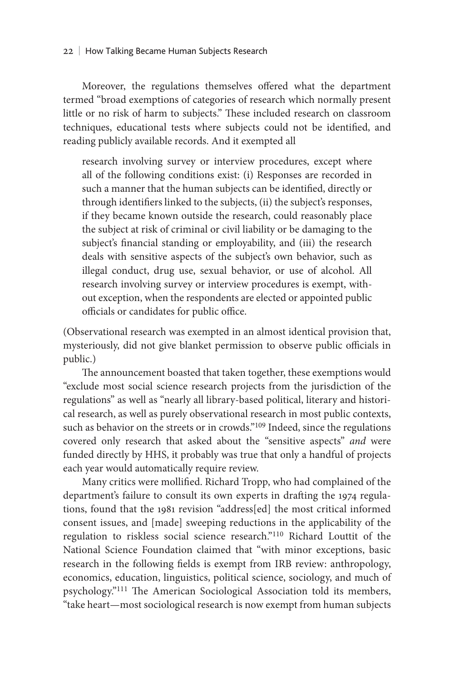Moreover, the regulations themselves offered what the department termed "broad exemptions of categories of research which normally present little or no risk of harm to subjects." These included research on classroom techniques, educational tests where subjects could not be identified, and reading publicly available records. And it exempted all

 research involving survey or interview procedures, except where all of the following conditions exist: (i) Responses are recorded in such a manner that the human subjects can be identified, directly or through identifiers linked to the subjects, (ii) the subject's responses, if they became known outside the research, could reasonably place the subject at risk of criminal or civil liability or be damaging to the subject's financial standing or employability, and (iii) the research deals with sensitive aspects of the subject's own behavior, such as illegal conduct, drug use, sexual behavior, or use of alcohol. All research involving survey or interview procedures is exempt, without exception, when the respondents are elected or appointed public officials or candidates for public office.

 (Observational research was exempted in an almost identical provision that, mysteriously, did not give blanket permission to observe public officials in public.)

The announcement boasted that taken together, these exemptions would "exclude most social science research projects from the jurisdiction of the regulations" as well as "nearly all library-based political, literary and historical research, as well as purely observational research in most public contexts, such as behavior on the streets or in crowds."<sup>109</sup> Indeed, since the regulations covered only research that asked about the "sensitive aspects" *and* were funded directly by HHS, it probably was true that only a handful of projects each year would automatically require review.

Many critics were mollified. Richard Tropp, who had complained of the department's failure to consult its own experts in drafting the 1974 regulations, found that the 1981 revision "address[ed] the most critical informed consent issues, and [made] sweeping reductions in the applicability of the regulation to riskless social science research." 110 Richard Louttit of the National Science Foundation claimed that "with minor exceptions, basic research in the following fields is exempt from IRB review: anthropology, economics, education, linguistics, political science, sociology, and much of psychology."<sup>111</sup> The American Sociological Association told its members, "take heart—most sociological research is now exempt from human subjects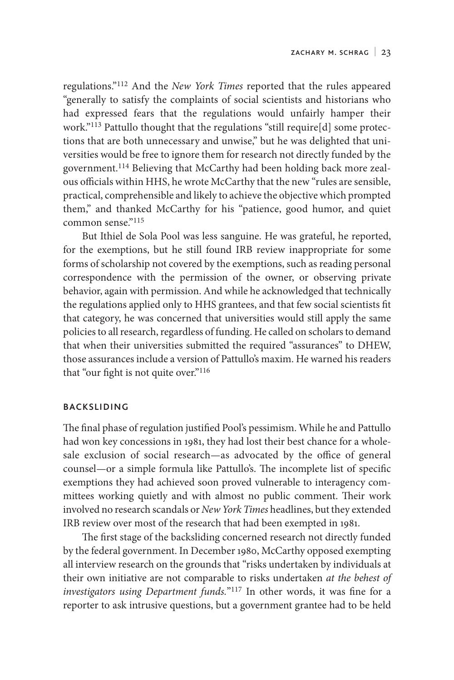regulations." 112 And the *New York Times* reported that the rules appeared "generally to satisfy the complaints of social scientists and historians who had expressed fears that the regulations would unfairly hamper their work."<sup>113</sup> Pattullo thought that the regulations "still require[d] some protections that are both unnecessary and unwise," but he was delighted that universities would be free to ignore them for research not directly funded by the government. 114 Believing that McCarthy had been holding back more zealous officials within HHS, he wrote McCarthy that the new "rules are sensible, practical, comprehensible and likely to achieve the objective which prompted them," and thanked McCarthy for his "patience, good humor, and quiet common sense."115

 But Ithiel de Sola Pool was less sanguine. He was grateful, he reported, for the exemptions, but he still found IRB review inappropriate for some forms of scholarship not covered by the exemptions, such as reading personal correspondence with the permission of the owner, or observing private behavior, again with permission. And while he acknowledged that technically the regulations applied only to HHS grantees, and that few social scientists fit that category, he was concerned that universities would still apply the same policies to all research, regardless of funding. He called on scholars to demand that when their universities submitted the required "assurances" to DHEW, those assurances include a version of Pattullo's maxim. He warned his readers that "our fight is not quite over."<sup>116</sup>

#### **BACKSLIDING**

The final phase of regulation justified Pool's pessimism. While he and Pattullo had won key concessions in 1981, they had lost their best chance for a wholesale exclusion of social research—as advocated by the office of general counsel—or a simple formula like Pattullo's. The incomplete list of specific exemptions they had achieved soon proved vulnerable to interagency committees working quietly and with almost no public comment. Their work involved no research scandals or *New York Times* headlines, but they extended IRB review over most of the research that had been exempted in 1981.

The first stage of the backsliding concerned research not directly funded by the federal government. In December 1980, McCarthy opposed exempting all interview research on the grounds that "risks undertaken by individuals at their own initiative are not comparable to risks undertaken *at the behest of investigators using Department funds.*"<sup>117</sup> In other words, it was fine for a reporter to ask intrusive questions, but a government grantee had to be held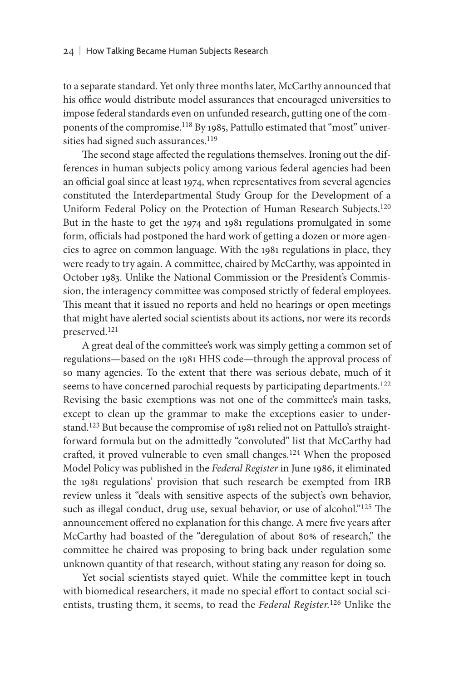to a separate standard. Yet only three months later, McCarthy announced that his office would distribute model assurances that encouraged universities to impose federal standards even on unfunded research, gutting one of the components of the compromise.<sup>118</sup> By 1985, Pattullo estimated that "most" universities had signed such assurances.<sup>119</sup>

The second stage affected the regulations themselves. Ironing out the differences in human subjects policy among various federal agencies had been an official goal since at least 1974, when representatives from several agencies constituted the Interdepartmental Study Group for the Development of a Uniform Federal Policy on the Protection of Human Research Subjects. 120 But in the haste to get the 1974 and 1981 regulations promulgated in some form, officials had postponed the hard work of getting a dozen or more agencies to agree on common language. With the 1981 regulations in place, they were ready to try again. A committee, chaired by McCarthy, was appointed in October 1983. Unlike the National Commission or the President's Commission, the interagency committee was composed strictly of federal employees. This meant that it issued no reports and held no hearings or open meetings that might have alerted social scientists about its actions, nor were its records preserved. 121

 A great deal of the committee's work was simply getting a common set of regulations—based on the 1981 HHS code—through the approval process of so many agencies. To the extent that there was serious debate, much of it seems to have concerned parochial requests by participating departments.<sup>122</sup> Revising the basic exemptions was not one of the committee's main tasks, except to clean up the grammar to make the exceptions easier to understand.<sup>123</sup> But because the compromise of 1981 relied not on Pattullo's straightforward formula but on the admittedly "convoluted" list that McCarthy had crafted, it proved vulnerable to even small changes.<sup>124</sup> When the proposed Model Policy was published in the *Federal Register* in June 1986, it eliminated the 1981 regulations' provision that such research be exempted from IRB review unless it "deals with sensitive aspects of the subject's own behavior, such as illegal conduct, drug use, sexual behavior, or use of alcohol."<sup>125</sup> The announcement offered no explanation for this change. A mere five years after McCarthy had boasted of the "deregulation of about 80% of research," the committee he chaired was proposing to bring back under regulation some unknown quantity of that research, without stating any reason for doing so.

 Yet social scientists stayed quiet. While the committee kept in touch with biomedical researchers, it made no special effort to contact social scientists, trusting them, it seems, to read the *Federal Register.*126 Unlike the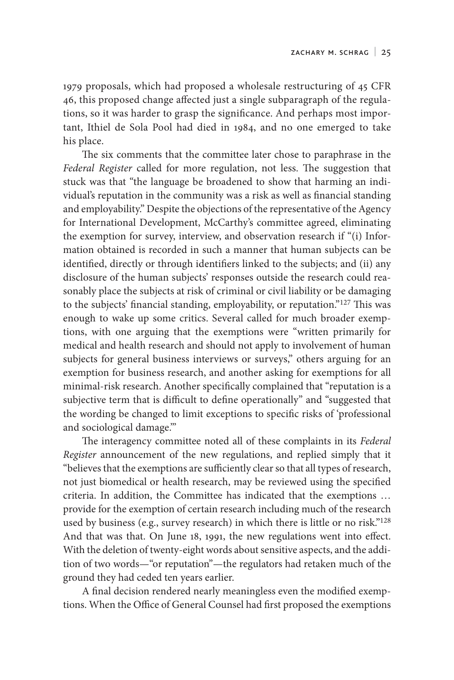1979 proposals, which had proposed a wholesale restructuring of 45 CFR 46, this proposed change affected just a single subparagraph of the regulations, so it was harder to grasp the significance. And perhaps most important, Ithiel de Sola Pool had died in 1984, and no one emerged to take his place.

The six comments that the committee later chose to paraphrase in the Federal Register called for more regulation, not less. The suggestion that stuck was that "the language be broadened to show that harming an individual's reputation in the community was a risk as well as financial standing and employability." Despite the objections of the representative of the Agency for International Development, McCarthy's committee agreed, eliminating the exemption for survey, interview, and observation research if "(i) Information obtained is recorded in such a manner that human subjects can be identified, directly or through identifiers linked to the subjects; and (ii) any disclosure of the human subjects' responses outside the research could reasonably place the subjects at risk of criminal or civil liability or be damaging to the subjects' financial standing, employability, or reputation."<sup>127</sup> This was enough to wake up some critics. Several called for much broader exemptions, with one arguing that the exemptions were "written primarily for medical and health research and should not apply to involvement of human subjects for general business interviews or surveys," others arguing for an exemption for business research, and another asking for exemptions for all minimal-risk research. Another specifically complained that "reputation is a subjective term that is difficult to define operationally" and "suggested that the wording be changed to limit exceptions to specific risks of 'professional and sociological damage.'"

The interagency committee noted all of these complaints in its *Federal Register* announcement of the new regulations, and replied simply that it "believes that the exemptions are sufficiently clear so that all types of research, not just biomedical or health research, may be reviewed using the specified criteria. In addition, the Committee has indicated that the exemptions … provide for the exemption of certain research including much of the research used by business (e.g., survey research) in which there is little or no risk."<sup>128</sup> And that was that. On June 18, 1991, the new regulations went into effect. With the deletion of twenty-eight words about sensitive aspects, and the addition of two words—"or reputation"—the regulators had retaken much of the ground they had ceded ten years earlier.

A final decision rendered nearly meaningless even the modified exemptions. When the Office of General Counsel had first proposed the exemptions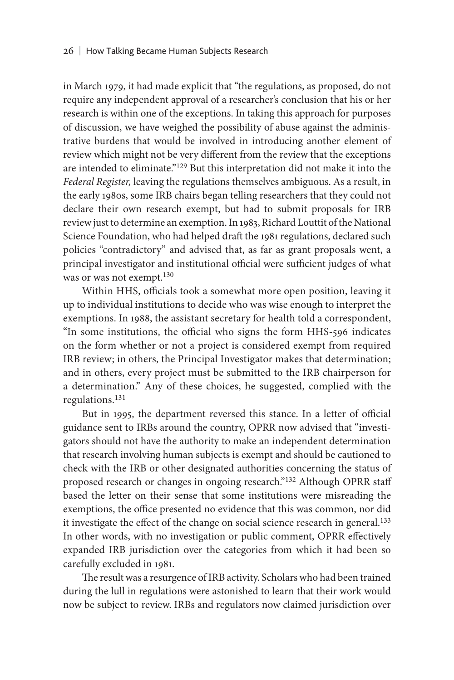in March 1979, it had made explicit that "the regulations, as proposed, do not require any independent approval of a researcher's conclusion that his or her research is within one of the exceptions. In taking this approach for purposes of discussion, we have weighed the possibility of abuse against the administrative burdens that would be involved in introducing another element of review which might not be very different from the review that the exceptions are intended to eliminate."<sup>129</sup> But this interpretation did not make it into the *Federal Register,* leaving the regulations themselves ambiguous. As a result, in the early 1980s, some IRB chairs began telling researchers that they could not declare their own research exempt, but had to submit proposals for IRB review just to determine an exemption. In 1983, Richard Louttit of the National Science Foundation, who had helped draft the 1981 regulations, declared such policies "contradictory" and advised that, as far as grant proposals went, a principal investigator and institutional official were sufficient judges of what was or was not exempt.<sup>130</sup>

Within HHS, officials took a somewhat more open position, leaving it up to individual institutions to decide who was wise enough to interpret the exemptions. In 1988, the assistant secretary for health told a correspondent, "In some institutions, the official who signs the form HHS-596 indicates on the form whether or not a project is considered exempt from required IRB review; in others, the Principal Investigator makes that determination; and in others, every project must be submitted to the IRB chairperson for a determination." Any of these choices, he suggested, complied with the regulations. 131

But in 1995, the department reversed this stance. In a letter of official guidance sent to IRBs around the country, OPRR now advised that "investigators should not have the authority to make an independent determination that research involving human subjects is exempt and should be cautioned to check with the IRB or other designated authorities concerning the status of proposed research or changes in ongoing research."<sup>132</sup> Although OPRR staff based the letter on their sense that some institutions were misreading the exemptions, the office presented no evidence that this was common, nor did it investigate the effect of the change on social science research in general.<sup>133</sup> In other words, with no investigation or public comment, OPRR effectively expanded IRB jurisdiction over the categories from which it had been so carefully excluded in 1981.

The result was a resurgence of IRB activity. Scholars who had been trained during the lull in regulations were astonished to learn that their work would now be subject to review. IRBs and regulators now claimed jurisdiction over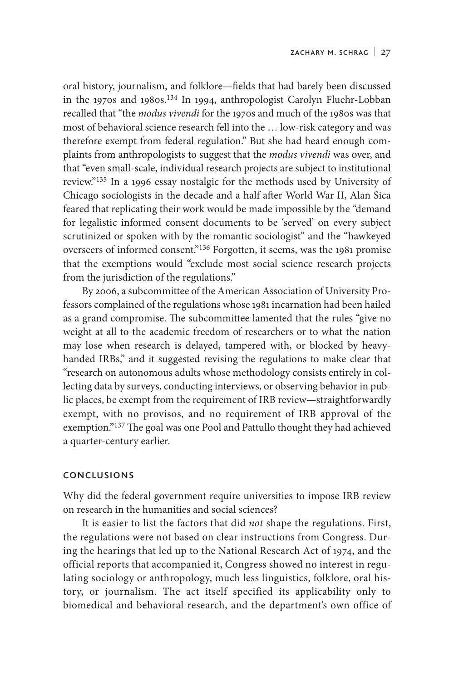oral history, journalism, and folklore—fields that had barely been discussed in the 1970s and 1980s. 134 In 1994, anthropologist Carolyn Fluehr-Lobban recalled that "the *modus vivendi* for the 1970s and much of the 1980s was that most of behavioral science research fell into the … low-risk category and was therefore exempt from federal regulation." But she had heard enough complaints from anthropologists to suggest that the *modus vivendi* was over, and that "even small-scale, individual research projects are subject to institutional review." 135 In a 1996 essay nostalgic for the methods used by University of Chicago sociologists in the decade and a half after World War II, Alan Sica feared that replicating their work would be made impossible by the "demand for legalistic informed consent documents to be 'served' on every subject scrutinized or spoken with by the romantic sociologist" and the "hawkeyed overseers of informed consent." 136 Forgotten, it seems, was the 1981 promise that the exemptions would "exclude most social science research projects from the jurisdiction of the regulations."

 By 2006, a subcommittee of the American Association of University Professors complained of the regulations whose 1981 incarnation had been hailed as a grand compromise. The subcommittee lamented that the rules "give no weight at all to the academic freedom of researchers or to what the nation may lose when research is delayed, tampered with, or blocked by heavyhanded IRBs," and it suggested revising the regulations to make clear that "research on autonomous adults whose methodology consists entirely in collecting data by surveys, conducting interviews, or observing behavior in public places, be exempt from the requirement of IRB review—straightforwardly exempt, with no provisos, and no requirement of IRB approval of the exemption."<sup>137</sup> The goal was one Pool and Pattullo thought they had achieved a quarter-century earlier.

#### conclusions

 Why did the federal government require universities to impose IRB review on research in the humanities and social sciences?

 It is easier to list the factors that did *not* shape the regulations. First, the regulations were not based on clear instructions from Congress. During the hearings that led up to the National Research Act of 1974, and the official reports that accompanied it, Congress showed no interest in regulating sociology or anthropology, much less linguistics, folklore, oral history, or journalism. The act itself specified its applicability only to biomedical and behavioral research, and the department's own office of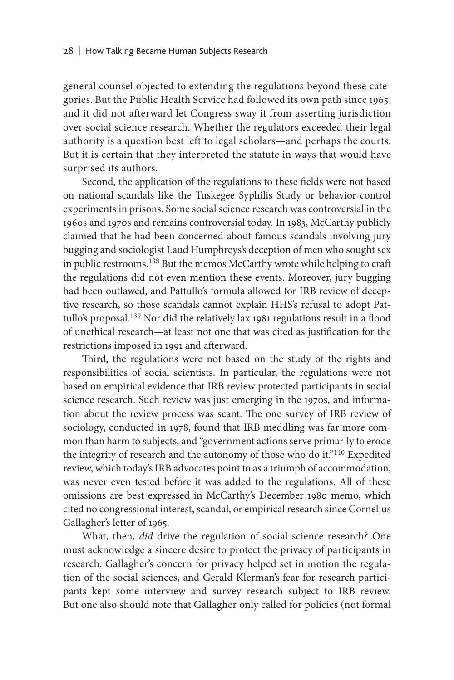general counsel objected to extending the regulations beyond these categories. But the Public Health Service had followed its own path since 1965, and it did not afterward let Congress sway it from asserting jurisdiction over social science research. Whether the regulators exceeded their legal authority is a question best left to legal scholars—and perhaps the courts. But it is certain that they interpreted the statute in ways that would have surprised its authors.

Second, the application of the regulations to these fields were not based on national scandals like the Tuskegee Syphilis Study or behavior-control experiments in prisons. Some social science research was controversial in the 1960s and 1970s and remains controversial today. In 1983, McCarthy publicly claimed that he had been concerned about famous scandals involving jury bugging and sociologist Laud Humphreys's deception of men who sought sex in public restrooms. 138 But the memos McCarthy wrote while helping to craft the regulations did not even mention these events. Moreover, jury bugging had been outlawed, and Pattullo's formula allowed for IRB review of deceptive research, so those scandals cannot explain HHS's refusal to adopt Pattullo's proposal.<sup>139</sup> Nor did the relatively lax 1981 regulations result in a flood of unethical research—at least not one that was cited as justification for the restrictions imposed in 1991 and afterward.

Third, the regulations were not based on the study of the rights and responsibilities of social scientists. In particular, the regulations were not based on empirical evidence that IRB review protected participants in social science research. Such review was just emerging in the 1970s, and information about the review process was scant. The one survey of IRB review of sociology, conducted in 1978, found that IRB meddling was far more common than harm to subjects, and "government actions serve primarily to erode the integrity of research and the autonomy of those who do it."<sup>140</sup> Expedited review, which today's IRB advocates point to as a triumph of accommodation, was never even tested before it was added to the regulations. All of these omissions are best expressed in McCarthy's December 1980 memo, which cited no congressional interest, scandal, or empirical research since Cornelius Gallagher's letter of 1965.

 What, then, *did* drive the regulation of social science research? One must acknowledge a sincere desire to protect the privacy of participants in research. Gallagher's concern for privacy helped set in motion the regulation of the social sciences, and Gerald Klerman's fear for research participants kept some interview and survey research subject to IRB review. But one also should note that Gallagher only called for policies (not formal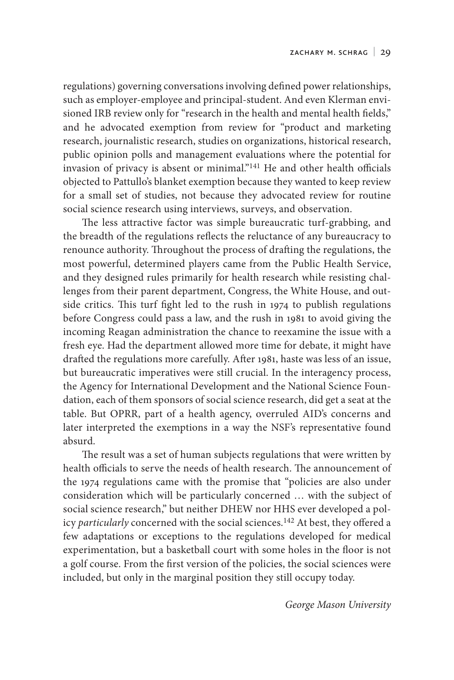regulations) governing conversations involving defined power relationships, such as employer-employee and principal-student. And even Klerman envisioned IRB review only for "research in the health and mental health fields," and he advocated exemption from review for "product and marketing research, journalistic research, studies on organizations, historical research, public opinion polls and management evaluations where the potential for invasion of privacy is absent or minimal."<sup>141</sup> He and other health officials objected to Pattullo's blanket exemption because they wanted to keep review for a small set of studies, not because they advocated review for routine social science research using interviews, surveys, and observation.

The less attractive factor was simple bureaucratic turf-grabbing, and the breadth of the regulations reflects the reluctance of any bureaucracy to renounce authority. Throughout the process of drafting the regulations, the most powerful, determined players came from the Public Health Service, and they designed rules primarily for health research while resisting challenges from their parent department, Congress, the White House, and outside critics. This turf fight led to the rush in  $1974$  to publish regulations before Congress could pass a law, and the rush in 1981 to avoid giving the incoming Reagan administration the chance to reexamine the issue with a fresh eye. Had the department allowed more time for debate, it might have drafted the regulations more carefully. After 1981, haste was less of an issue, but bureaucratic imperatives were still crucial. In the interagency process, the Agency for International Development and the National Science Foundation, each of them sponsors of social science research, did get a seat at the table. But OPRR, part of a health agency, overruled AID's concerns and later interpreted the exemptions in a way the NSF's representative found absurd.

The result was a set of human subjects regulations that were written by health officials to serve the needs of health research. The announcement of the 1974 regulations came with the promise that "policies are also under consideration which will be particularly concerned … with the subject of social science research," but neither DHEW nor HHS ever developed a policy *particularly* concerned with the social sciences.<sup>142</sup> At best, they offered a few adaptations or exceptions to the regulations developed for medical experimentation, but a basketball court with some holes in the floor is not a golf course. From the first version of the policies, the social sciences were included, but only in the marginal position they still occupy today.

 *George Mason University*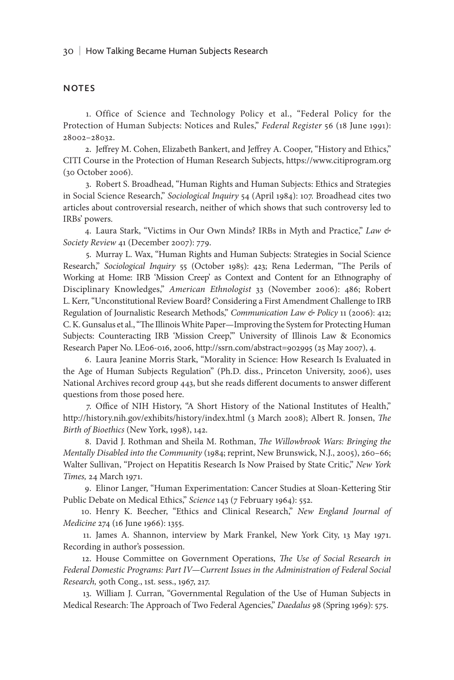#### **NOTES**

 1. Office of Science and Technology Policy et al., "Federal Policy for the Protection of Human Subjects: Notices and Rules," *Federal Register* 56 (18 June 1991): 28002–28032.

2. Jeffrey M. Cohen, Elizabeth Bankert, and Jeffrey A. Cooper, "History and Ethics," CITI Course in the Protection of Human Research Subjects, https://www.citiprogram.org (30 October 2006).

 3. Robert S. Broadhead, "Human Rights and Human Subjects: Ethics and Strategies in Social Science Research," *Sociological Inquiry* 54 (April 1984): 107. Broadhead cites two articles about controversial research, neither of which shows that such controversy led to IRBs' powers.

 4. Laura Stark, "Victims in Our Own Minds? IRBs in Myth and Practice," *Law & Society Review* 41 (December 2007): 779.

 5. Murray L. Wax, "Human Rights and Human Subjects: Strategies in Social Science Research," Sociological Inquiry 55 (October 1985): 423; Rena Lederman, "The Perils of Working at Home: IRB 'Mission Creep' as Context and Content for an Ethnography of Disciplinary Knowledges," *American Ethnologist* 33 (November 2006): 486; Robert L. Kerr, "Unconstitutional Review Board? Considering a First Amendment Challenge to IRB Regulation of Journalistic Research Methods," *Communication Law & Policy* 11 (2006): 412; C. K. Gunsalus et al., "The Illinois White Paper—Improving the System for Protecting Human Subjects: Counteracting IRB 'Mission Creep,'" University of Illinois Law & Economics Research Paper No. LE06-016, 2006, http://ssrn.com/abstract=902995 (25 May 2007), 4.

 6. Laura Jeanine Morris Stark, "Morality in Science: How Research Is Evaluated in the Age of Human Subjects Regulation" (Ph.D. diss., Princeton University, 2006), uses National Archives record group 443, but she reads different documents to answer different questions from those posed here.

7. Office of NIH History, "A Short History of the National Institutes of Health," http://history.nih.gov/exhibits/history/index.html (3 March 2008); Albert R. Jonsen, *The Birth of Bioethics* (New York, 1998), 142.

8. David J. Rothman and Sheila M. Rothman, *The Willowbrook Wars: Bringing the Mentally Disabled into the Community* (1984; reprint, New Brunswick, N.J., 2005), 260–66; Walter Sullivan, "Project on Hepatitis Research Is Now Praised by State Critic," *New York Times,* 24 March 1971.

 9. Elinor Langer, "Human Experimentation: Cancer Studies at Sloan-Kettering Stir Public Debate on Medical Ethics," *Science* 143 (7 February 1964): 552.

 10. Henry K. Beecher, "Ethics and Clinical Research," *New England Journal of Medicine* 274 (16 June 1966): 1355.

 11. James A. Shannon, interview by Mark Frankel, New York City, 13 May 1971. Recording in author's possession.

12. House Committee on Government Operations, *The Use of Social Research in Federal Domestic Programs: Part IV—Current Issues in the Administration of Federal Social Research,* 90th Cong., 1st. sess., 1967, 217.

 13. William J. Curran, "Governmental Regulation of the Use of Human Subjects in Medical Research: The Approach of Two Federal Agencies," *Daedalus* 98 (Spring 1969): 575.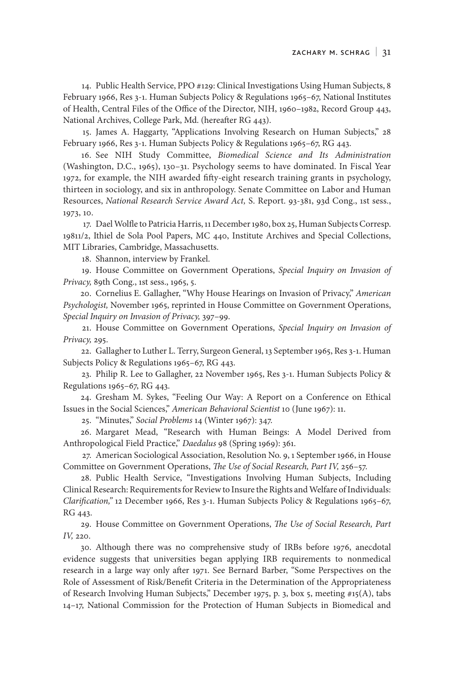14. Public Health Service, PPO #129: Clinical Investigations Using Human Subjects, 8 February 1966, Res 3-1. Human Subjects Policy & Regulations 1965–67, National Institutes of Health, Central Files of the Office of the Director, NIH, 1960–1982, Record Group 443, National Archives, College Park, Md. (hereafter RG 443).

 15. James A. Haggarty, "Applications Involving Research on Human Subjects," 28 February 1966, Res 3-1. Human Subjects Policy & Regulations 1965–67, RG 443.

 16. See NIH Study Committee, *Biomedical Science and Its Administration* (Washington, D.C., 1965), 130–31. Psychology seems to have dominated. In Fiscal Year 1972, for example, the NIH awarded fifty-eight research training grants in psychology, thirteen in sociology, and six in anthropology. Senate Committee on Labor and Human Resources, *National Research Service Award Act,* S. Report. 93-381, 93d Cong., 1st sess., 1973, 10.

17. Dael Wolfle to Patricia Harris, 11 December 1980, box 25, Human Subjects Corresp. 19811/2, Ithiel de Sola Pool Papers, MC 440, Institute Archives and Special Collections, MIT Libraries, Cambridge, Massachusetts.

18. Shannon, interview by Frankel.

 19. House Committee on Government Operations, *Special Inquiry on Invasion of Privacy,* 89th Cong., 1st sess., 1965, 5.

 20. Cornelius E. Gallagher, "Why House Hearings on Invasion of Privacy," *American Psychologist,* November 1965, reprinted in House Committee on Government Operations, *Special Inquiry on Invasion of Privacy,* 397–99.

 21. House Committee on Government Operations, *Special Inquiry on Invasion of Privacy,* 295.

 22. Gallagher to Luther L. Terry, Surgeon General, 13 September 1965, Res 3-1. Human Subjects Policy & Regulations 1965–67, RG 443.

 23. Philip R. Lee to Gallagher, 22 November 1965, Res 3-1. Human Subjects Policy & Regulations 1965–67, RG 443.

 24. Gresham M. Sykes, "Feeling Our Way: A Report on a Conference on Ethical Issues in the Social Sciences," *American Behavioral Scientist* 10 (June 1967): 11.

25. "Minutes," *Social Problems* 14 (Winter 1967): 347.

 26. Margaret Mead, "Research with Human Beings: A Model Derived from Anthropological Field Practice," *Daedalus* 98 (Spring 1969): 361.

 27. American Sociological Association, Resolution No. 9, 1 September 1966, in House Committee on Government Operations, *The Use of Social Research*, *Part IV*, 256-57.

 28. Public Health Service, "Investigations Involving Human Subjects, Including Clinical Research: Requirements for Review to Insure the Rights and Welfare of Individuals: *Clarification,"* 12 December 1966, Res 3-1. Human Subjects Policy & Regulations 1965–67, RG 443.

29. House Committee on Government Operations, *The Use of Social Research, Part IV,* 220.

 30. Although there was no comprehensive study of IRBs before 1976, anecdotal evidence suggests that universities began applying IRB requirements to nonmedical research in a large way only after 1971. See Bernard Barber, "Some Perspectives on the Role of Assessment of Risk/Benefit Criteria in the Determination of the Appropriateness of Research Involving Human Subjects," December 1975, p. 3, box 5, meeting #15(A), tabs 14–17, National Commission for the Protection of Human Subjects in Biomedical and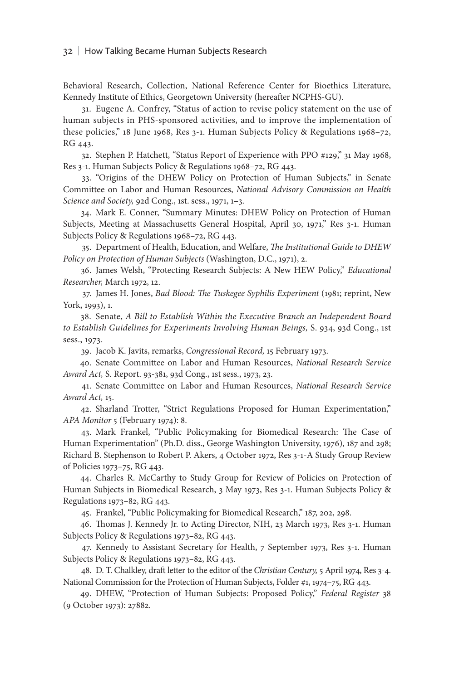Behavioral Research, Collection, National Reference Center for Bioethics Literature, Kennedy Institute of Ethics, Georgetown University (hereafter NCPHS-GU).

 31. Eugene A. Confrey, "Status of action to revise policy statement on the use of human subjects in PHS-sponsored activities, and to improve the implementation of these policies," 18 June 1968, Res 3-1. Human Subjects Policy & Regulations 1968–72, RG 443.

 32. Stephen P. Hatchett, "Status Report of Experience with PPO #129," 31 May 1968, Res 3-1. Human Subjects Policy & Regulations 1968–72, RG 443.

 33. "Origins of the DHEW Policy on Protection of Human Subjects," in Senate Committee on Labor and Human Resources, *National Advisory Commission on Health Science and Society,* 92d Cong., 1st. sess., 1971, 1–3.

 34. Mark E. Conner, "Summary Minutes: DHEW Policy on Protection of Human Subjects, Meeting at Massachusetts General Hospital, April 30, 1971," Res 3-1. Human Subjects Policy & Regulations 1968–72, RG 443.

35. Department of Health, Education, and Welfare, *The Institutional Guide to DHEW Policy on Protection of Human Subjects* (Washington, D.C., 1971), 2.

 36. James Welsh, "Protecting Research Subjects: A New HEW Policy," *Educational Researcher,* March 1972, 12.

37. James H. Jones, *Bad Blood: The Tuskegee Syphilis Experiment* (1981; reprint, New York, 1993), 1.

 38. Senate, *A Bill to Establish Within the Executive Branch an Independent Board to Establish Guidelines for Experiments Involving Human Beings,* S. 934, 93d Cong., 1st sess., 1973.

39. Jacob K. Javits, remarks, *Congressional Record,* 15 February 1973.

 40. Senate Committee on Labor and Human Resources, *National Research Service Award Act,* S. Report. 93-381, 93d Cong., 1st sess., 1973, 23.

 41. Senate Committee on Labor and Human Resources, *National Research Service Award Act,* 15.

 42. Sharland Trotter, "Strict Regulations Proposed for Human Experimentation," *APA Monitor* 5 (February 1974): 8.

43. Mark Frankel, "Public Policymaking for Biomedical Research: The Case of Human Experimentation" (Ph.D. diss., George Washington University, 1976), 187 and 298; Richard B. Stephenson to Robert P. Akers, 4 October 1972, Res 3-1-A Study Group Review of Policies 1973–75, RG 443.

 44. Charles R. McCarthy to Study Group for Review of Policies on Protection of Human Subjects in Biomedical Research, 3 May 1973, Res 3-1. Human Subjects Policy & Regulations 1973–82, RG 443.

45. Frankel, "Public Policymaking for Biomedical Research," 187, 202, 298.

46. Thomas J. Kennedy Jr. to Acting Director, NIH, 23 March 1973, Res 3-1. Human Subjects Policy & Regulations 1973–82, RG 443.

 47. Kennedy to Assistant Secretary for Health, 7 September 1973, Res 3-1. Human Subjects Policy & Regulations 1973–82, RG 443.

 48. D. T. Chalkley, draft letter to the editor of the *Christian Century,* 5 April 1974, Res 3-4. National Commission for the Protection of Human Subjects, Folder #1, 1974–75, RG 443.

 49. DHEW, "Protection of Human Subjects: Proposed Policy," *Federal Register* 38 (9 October 1973): 27882.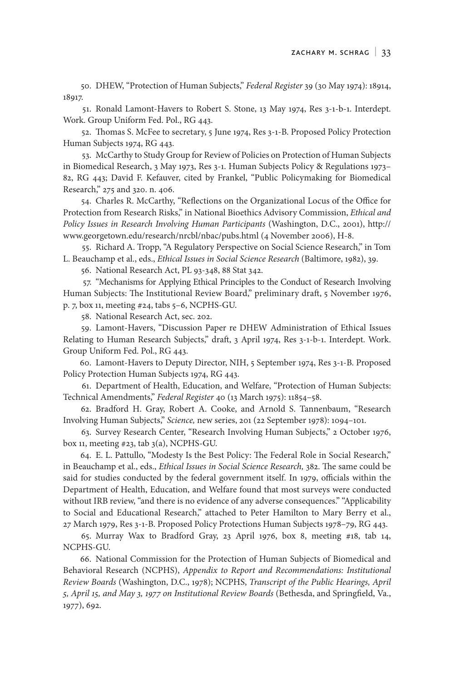50. DHEW, "Protection of Human Subjects," *Federal Register* 39 (30 May 1974): 18914, 18917.

 51. Ronald Lamont-Havers to Robert S. Stone, 13 May 1974, Res 3-1-b-1. Interdept. Work. Group Uniform Fed. Pol., RG 443.

52. Thomas S. McFee to secretary, 5 June 1974, Res 3-1-B. Proposed Policy Protection Human Subjects 1974, RG 443.

 53. McCarthy to Study Group for Review of Policies on Protection of Human Subjects in Biomedical Research, 3 May 1973, Res 3-1. Human Subjects Policy & Regulations 1973– 82, RG 443; David F. Kefauver, cited by Frankel, "Public Policymaking for Biomedical Research," 275 and 320. n. 406.

54. Charles R. McCarthy, "Reflections on the Organizational Locus of the Office for Protection from Research Risks," in National Bioethics Advisory Commission, *Ethical and Policy Issues in Research Involving Human Participants* (Washington, D.C., 2001), http:// www.georgetown.edu/research/nrcbl/nbac/pubs.html (4 November 2006), H-8.

 55. Richard A. Tropp, "A Regulatory Perspective on Social Science Research," in Tom L. Beauchamp et al., eds., *Ethical Issues in Social Science Research* (Baltimore, 1982), 39.

56. National Research Act, PL 93-348, 88 Stat 342.

 57. "Mechanisms for Applying Ethical Principles to the Conduct of Research Involving Human Subjects: The Institutional Review Board," preliminary draft, 5 November 1976, p. 7, box 11, meeting #24, tabs 5–6, NCPHS-GU.

58. National Research Act, sec. 202.

 59. Lamont-Havers, "Discussion Paper re DHEW Administration of Ethical Issues Relating to Human Research Subjects," draft, 3 April 1974, Res 3-1-b-1. Interdept. Work. Group Uniform Fed. Pol., RG 443.

 60. Lamont-Havers to Deputy Director, NIH, 5 September 1974, Res 3-1-B. Proposed Policy Protection Human Subjects 1974, RG 443.

 61. Department of Health, Education, and Welfare, "Protection of Human Subjects: Technical Amendments," *Federal Register* 40 (13 March 1975): 11854–58.

 62. Bradford H. Gray, Robert A. Cooke, and Arnold S. Tannenbaum, "Research Involving Human Subjects," *Science,* new series, 201 (22 September 1978): 1094–101.

 63. Survey Research Center, "Research Involving Human Subjects," 2 October 1976, box 11, meeting  $\#23$ , tab 3(a), NCPHS-GU.

64. E. L. Pattullo, "Modesty Is the Best Policy: The Federal Role in Social Research," in Beauchamp et al., eds., *Ethical Issues in Social Science Research*, 382. The same could be said for studies conducted by the federal government itself. In 1979, officials within the Department of Health, Education, and Welfare found that most surveys were conducted without IRB review, "and there is no evidence of any adverse consequences." "Applicability to Social and Educational Research," attached to Peter Hamilton to Mary Berry et al., 27 March 1979, Res 3-1-B. Proposed Policy Protections Human Subjects 1978–79, RG 443.

 65. Murray Wax to Bradford Gray, 23 April 1976, box 8, meeting #18, tab 14, NCPHS-GU.

 66. National Commission for the Protection of Human Subjects of Biomedical and Behavioral Research (NCPHS), *Appendix to Report and Recommendations: Institutional Review Boards* (Washington, D.C., 1978); NCPHS, *Transcript of the Public Hearings, April*  5, April 15, and May 3, 1977 on Institutional Review Boards (Bethesda, and Springfield, Va., 1977), 692.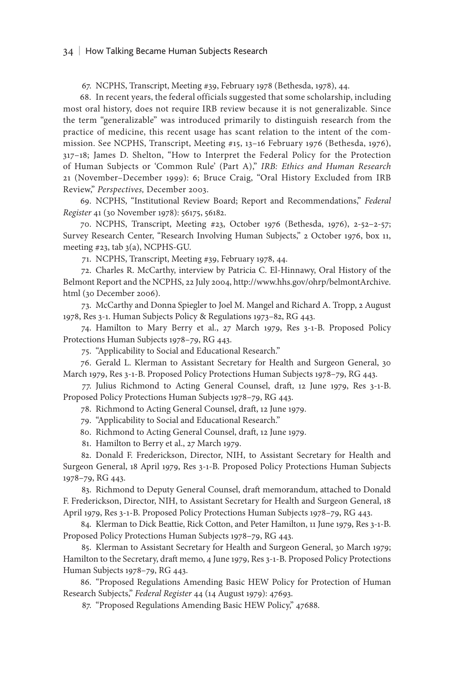67. NCPHS, Transcript, Meeting #39, February 1978 (Bethesda, 1978), 44.

 68. In recent years, the federal officials suggested that some scholarship, including most oral history, does not require IRB review because it is not generalizable. Since the term "generalizable" was introduced primarily to distinguish research from the practice of medicine, this recent usage has scant relation to the intent of the commission. See NCPHS, Transcript, Meeting #15, 13–16 February 1976 (Bethesda, 1976), 317–18; James D. Shelton, "How to Interpret the Federal Policy for the Protection of Human Subjects or 'Common Rule' (Part A)," *IRB: Ethics and Human Research* 21 (November–December 1999): 6; Bruce Craig, "Oral History Excluded from IRB Review," *Perspectives,* December 2003.

 69. NCPHS, "Institutional Review Board; Report and Recommendations," *Federal Register* 41 (30 November 1978): 56175, 56182.

 70. NCPHS, Transcript, Meeting #23, October 1976 (Bethesda, 1976), 2-52–2-57; Survey Research Center, "Research Involving Human Subjects," 2 October 1976, box 11, meeting #23, tab 3(a), NCPHS-GU.

71. NCPHS, Transcript, Meeting #39, February 1978, 44.

 72. Charles R. McCarthy, interview by Patricia C. El-Hinnawy, Oral History of the Belmont Report and the NCPHS, 22 July 2004, http://www.hhs.gov/ohrp/belmontArchive. html (30 December 2006).

 73. McCarthy and Donna Spiegler to Joel M. Mangel and Richard A. Tropp, 2 August 1978, Res 3-1. Human Subjects Policy & Regulations 1973–82, RG 443.

 74. Hamilton to Mary Berry et al., 27 March 1979, Res 3-1-B. Proposed Policy Protections Human Subjects 1978–79, RG 443.

75. "Applicability to Social and Educational Research."

 76. Gerald L. Klerman to Assistant Secretary for Health and Surgeon General, 30 March 1979, Res 3-1-B. Proposed Policy Protections Human Subjects 1978–79, RG 443.

77. Julius Richmond to Acting General Counsel, draft, 12 June 1979, Res 3-1-B. Proposed Policy Protections Human Subjects 1978–79, RG 443.

78. Richmond to Acting General Counsel, draft, 12 June 1979.

79. "Applicability to Social and Educational Research."

80. Richmond to Acting General Counsel, draft, 12 June 1979.

81. Hamilton to Berry et al., 27 March 1979.

 82. Donald F. Frederickson, Director, NIH, to Assistant Secretary for Health and Surgeon General, 18 April 1979, Res 3-1-B. Proposed Policy Protections Human Subjects 1978–79, RG 443.

 83. Richmond to Deputy General Counsel, draft memorandum, attached to Donald F. Frederickson, Director, NIH, to Assistant Secretary for Health and Surgeon General, 18 April 1979, Res 3-1-B. Proposed Policy Protections Human Subjects 1978–79, RG 443.

 84. Klerman to Dick Beattie, Rick Cotton, and Peter Hamilton, 11 June 1979, Res 3-1-B. Proposed Policy Protections Human Subjects 1978–79, RG 443.

 85. Klerman to Assistant Secretary for Health and Surgeon General, 30 March 1979; Hamilton to the Secretary, draft memo, 4 June 1979, Res 3-1-B. Proposed Policy Protections Human Subjects 1978–79, RG 443.

 86. "Proposed Regulations Amending Basic HEW Policy for Protection of Human Research Subjects," *Federal Register* 44 (14 August 1979): 47693.

87. "Proposed Regulations Amending Basic HEW Policy," 47688.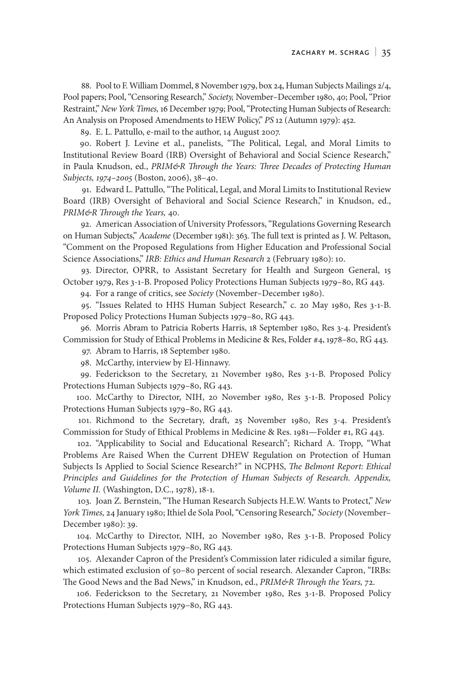88. Pool to F. William Dommel, 8 November 1979, box 24, Human Subjects Mailings 2/4, Pool papers; Pool, "Censoring Research," *Society,* November–December 1980, 40; Pool, "Prior Restraint," *New York Times,* 16 December 1979; Pool, "Protecting Human Subjects of Research: An Analysis on Proposed Amendments to HEW Policy," *PS* 12 (Autumn 1979): 452.

89. E. L. Pattullo, e-mail to the author, 14 August 2007.

90. Robert J. Levine et al., panelists, "The Political, Legal, and Moral Limits to Institutional Review Board (IRB) Oversight of Behavioral and Social Science Research," in Paula Knudson, ed., *PRIM&R Through the Years: Three Decades of Protecting Human Subjects, 1974–2005* (Boston, 2006), 38–40.

91. Edward L. Pattullo, "The Political, Legal, and Moral Limits to Institutional Review Board (IRB) Oversight of Behavioral and Social Science Research," in Knudson, ed., *PRIM&R Through the Years, 40.* 

 92. American Association of University Professors, "Regulations Governing Research on Human Subjects," *Academe* (December 1981): 363. The full text is printed as J. W. Peltason, "Comment on the Proposed Regulations from Higher Education and Professional Social Science Associations," *IRB: Ethics and Human Research* 2 (February 1980): 10.

 93. Director, OPRR, to Assistant Secretary for Health and Surgeon General, 15 October 1979, Res 3-1-B. Proposed Policy Protections Human Subjects 1979–80, RG 443.

94. For a range of critics, see *Society* (November–December 1980).

 95. "Issues Related to HHS Human Subject Research," c. 20 May 1980, Res 3-1-B. Proposed Policy Protections Human Subjects 1979–80, RG 443.

 96. Morris Abram to Patricia Roberts Harris, 18 September 1980, Res 3-4. President's Commission for Study of Ethical Problems in Medicine & Res, Folder #4, 1978–80, RG 443.

97. Abram to Harris, 18 September 1980.

98. McCarthy, interview by El-Hinnawy.

 99. Federickson to the Secretary, 21 November 1980, Res 3-1-B. Proposed Policy Protections Human Subjects 1979–80, RG 443.

 100. McCarthy to Director, NIH, 20 November 1980, Res 3-1-B. Proposed Policy Protections Human Subjects 1979–80, RG 443.

101. Richmond to the Secretary, draft, 25 November 1980, Res 3-4. President's Commission for Study of Ethical Problems in Medicine & Res. 1981—Folder #1, RG 443.

 102. "Applicability to Social and Educational Research"; Richard A. Tropp, "What Problems Are Raised When the Current DHEW Regulation on Protection of Human Subjects Is Applied to Social Science Research?" in NCPHS, *The Belmont Report: Ethical Principles and Guidelines for the Protection of Human Subjects of Research. Appendix, Volume II.* (Washington, D.C., 1978), 18-1.

103. Joan Z. Bernstein, "The Human Research Subjects H.E.W. Wants to Protect," *New York Times,* 24 January 1980; Ithiel de Sola Pool, "Censoring Research," *Society* (November– December 1980): 39.

 104. McCarthy to Director, NIH, 20 November 1980, Res 3-1-B. Proposed Policy Protections Human Subjects 1979–80, RG 443.

105. Alexander Capron of the President's Commission later ridiculed a similar figure, which estimated exclusion of 50–80 percent of social research. Alexander Capron, "IRBs: The Good News and the Bad News," in Knudson, ed., *PRIM&R Through the Years*, 72.

 106. Federickson to the Secretary, 21 November 1980, Res 3-1-B. Proposed Policy Protections Human Subjects 1979–80, RG 443.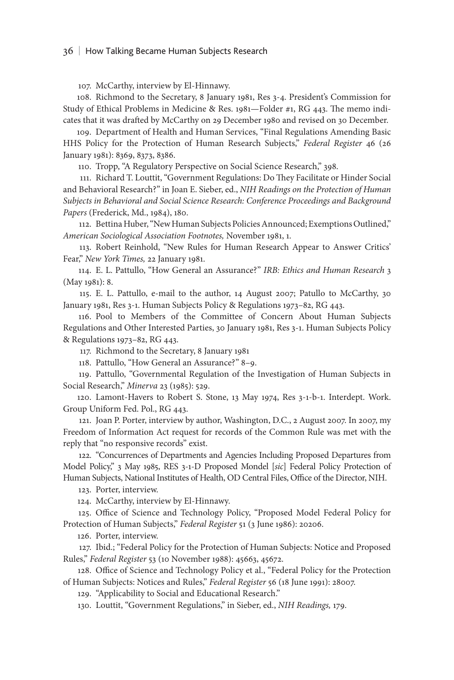107. McCarthy, interview by El-Hinnawy.

 108. Richmond to the Secretary, 8 January 1981, Res 3-4. President's Commission for Study of Ethical Problems in Medicine & Res. 1981—Folder #1, RG 443. The memo indicates that it was drafted by McCarthy on 29 December 1980 and revised on 30 December.

 109. Department of Health and Human Services, "Final Regulations Amending Basic HHS Policy for the Protection of Human Research Subjects," *Federal Register* 46 (26 January 1981): 8369, 8373, 8386.

110. Tropp, "A Regulatory Perspective on Social Science Research," 398.

111. Richard T. Louttit, "Government Regulations: Do They Facilitate or Hinder Social and Behavioral Research?" in Joan E. Sieber, ed., *NIH Readings on the Protection of Human Subjects in Behavioral and Social Science Research: Conference Proceedings and Background Papers* (Frederick, Md., 1984), 180.

 112. Bettina Huber, "New Human Subjects Policies Announced; Exemptions Outlined," *American Sociological Association Footnotes,* November 1981, 1.

 113. Robert Reinhold, "New Rules for Human Research Appear to Answer Critics' Fear," *New York Times,* 22 January 1981.

 114. E. L. Pattullo, "How General an Assurance?" *IRB: Ethics and Human Research* 3 (May 1981): 8.

 115. E. L. Pattullo, e-mail to the author, 14 August 2007; Patullo to McCarthy, 30 January 1981, Res 3-1. Human Subjects Policy & Regulations 1973–82, RG 443.

 116. Pool to Members of the Committee of Concern About Human Subjects Regulations and Other Interested Parties, 30 January 1981, Res 3-1. Human Subjects Policy & Regulations 1973–82, RG 443.

117. Richmond to the Secretary, 8 January 1981

118. Pattullo, "How General an Assurance?" 8–9.

 119. Pattullo, "Governmental Regulation of the Investigation of Human Subjects in Social Research," *Minerva* 23 (1985): 529.

 120. Lamont-Havers to Robert S. Stone, 13 May 1974, Res 3-1-b-1. Interdept. Work. Group Uniform Fed. Pol., RG 443.

 121. Joan P. Porter, interview by author, Washington, D.C., 2 August 2007. In 2007, my Freedom of Information Act request for records of the Common Rule was met with the reply that "no responsive records" exist.

 122. "Concurrences of Departments and Agencies Including Proposed Departures from Model Policy," 3 May 1985, RES 3-1-D Proposed Mondel [sic] Federal Policy Protection of Human Subjects, National Institutes of Health, OD Central Files, Office of the Director, NIH.

123. Porter, interview.

124. McCarthy, interview by El-Hinnawy.

125. Office of Science and Technology Policy, "Proposed Model Federal Policy for Protection of Human Subjects," *Federal Register* 51 (3 June 1986): 20206.

126. Porter, interview.

 127. Ibid.; "Federal Policy for the Protection of Human Subjects: Notice and Proposed Rules," *Federal Register* 53 (10 November 1988): 45663, 45672.

128. Office of Science and Technology Policy et al., "Federal Policy for the Protection of Human Subjects: Notices and Rules," *Federal Register* 56 (18 June 1991): 28007.

129. "Applicability to Social and Educational Research."

130. Louttit, "Government Regulations," in Sieber, ed., *NIH Readings,* 179.